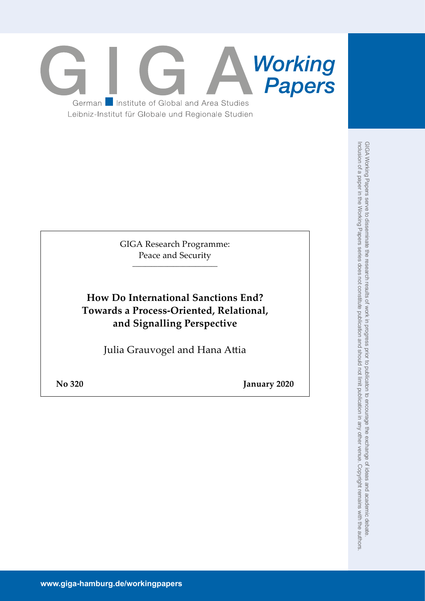

GIGA Research Programme: Peace and Security \_\_\_\_\_\_\_\_\_\_\_\_\_\_\_\_\_\_\_\_\_\_\_\_\_\_\_

**How Do International Sanctions End? Towards a Process-Oriented, Relational, and Signalling Perspective**

Julia Grauvogel and Hana Attia

**No 320 January 2020**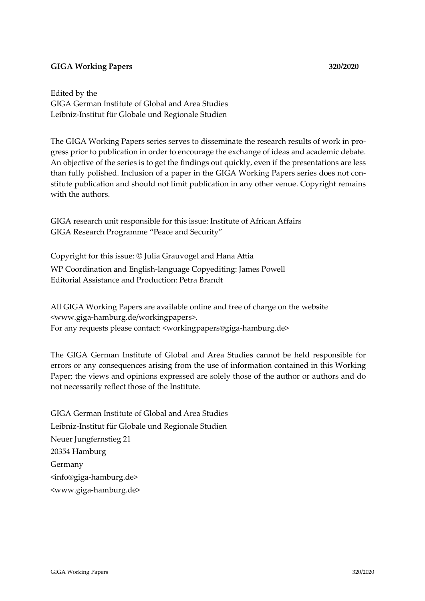# **GIGA Working Papers 320/2020**

Edited by the GIGA German Institute of Global and Area Studies Leibniz-Institut für Globale und Regionale Studien

The GIGA Working Papers series serves to disseminate the research results of work in progress prior to publication in order to encourage the exchange of ideas and academic debate. An objective of the series is to get the findings out quickly, even if the presentations are less than fully polished. Inclusion of a paper in the GIGA Working Papers series does not constitute publication and should not limit publication in any other venue. Copyright remains with the authors.

GIGA research unit responsible for this issue: Institute of African Affairs GIGA Research Programme "Peace and Security"

Copyright for this issue: © Julia Grauvogel and Hana Attia WP Coordination and English-language Copyediting: James Powell Editorial Assistance and Production: Petra Brandt

All GIGA Working Papers are available online and free of charge on the website <www.giga-hamburg.de/workingpapers>. For any requests please contact: <workingpapers@giga-hamburg.de>

The GIGA German Institute of Global and Area Studies cannot be held responsible for errors or any consequences arising from the use of information contained in this Working Paper; the views and opinions expressed are solely those of the author or authors and do not necessarily reflect those of the Institute.

GIGA German Institute of Global and Area Studies Leibniz-Institut für Globale und Regionale Studien Neuer Jungfernstieg 21 20354 Hamburg Germany <info@giga-hamburg.de> <www.giga-hamburg.de>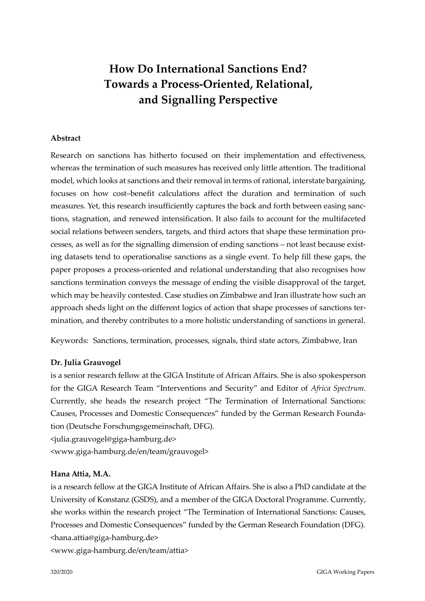# **How Do International Sanctions End? Towards a Process-Oriented, Relational, and Signalling Perspective**

### **Abstract**

Research on sanctions has hitherto focused on their implementation and effectiveness, whereas the termination of such measures has received only little attention. The traditional model, which looks at sanctions and their removal in terms of rational, interstate bargaining, focuses on how cost–benefit calculations affect the duration and termination of such measures. Yet, this research insufficiently captures the back and forth between easing sanctions, stagnation, and renewed intensification. It also fails to account for the multifaceted social relations between senders, targets, and third actors that shape these termination processes, as well as for the signalling dimension of ending sanctions – not least because existing datasets tend to operationalise sanctions as a single event. To help fill these gaps, the paper proposes a process-oriented and relational understanding that also recognises how sanctions termination conveys the message of ending the visible disapproval of the target, which may be heavily contested. Case studies on Zimbabwe and Iran illustrate how such an approach sheds light on the different logics of action that shape processes of sanctions termination, and thereby contributes to a more holistic understanding of sanctions in general.

Keywords: Sanctions, termination, processes, signals, third state actors, Zimbabwe, Iran

## **Dr. Julia Grauvogel**

is a senior research fellow at the GIGA Institute of African Affairs. She is also spokesperson for the GIGA Research Team "Interventions and Security" and Editor of *Africa Spectrum*. Currently, she heads the research project "The Termination of International Sanctions: Causes, Processes and Domestic Consequences" funded by the German Research Foundation (Deutsche Forschungsgemeinschaft, DFG).

<julia.grauvogel@giga-hamburg.de>

<www.giga-hamburg.de/en/team/grauvogel>

### **Hana Attia, M.A.**

is a research fellow at the GIGA Institute of African Affairs. She is also a PhD candidate at the University of Konstanz (GSDS), and a member of the GIGA Doctoral Programme. Currently, she works within the research project "The Termination of International Sanctions: Causes, Processes and Domestic Consequences" funded by the German Research Foundation (DFG). <hana.attia@giga-hamburg.de>

<www.giga-hamburg.de/en/team/attia>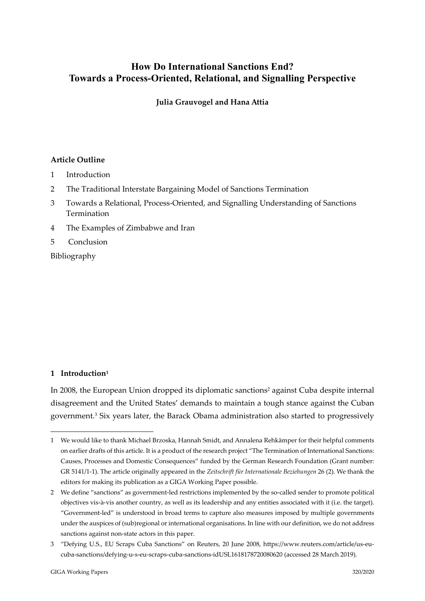# **How Do International Sanctions End? Towards a Process-Oriented, Relational, and Signalling Perspective**

**Julia Grauvogel and Hana Attia**

## **Article Outline**

- 1 Introduction
- 2 The Traditional Interstate Bargaining Model of Sanctions Termination
- 3 Towards a Relational, Process‐Oriented, and Signalling Understanding of Sanctions Termination
- 4 The Examples of Zimbabwe and Iran
- 5 Conclusion

Bibliography

# **1 Introduction1**

In 2008, the European Union dropped its diplomatic sanctions<sup>2</sup> against Cuba despite internal disagreement and the United States' demands to maintain a tough stance against the Cuban government.3 Six years later, the Barack Obama administration also started to progressively

<sup>1</sup> 1 We would like to thank Michael Brzoska, Hannah Smidt, and Annalena Rehkämper for their helpful comments on earlier drafts of this article. It is a product of the research project "The Termination of International Sanctions: Causes, Processes and Domestic Consequences" funded by the German Research Foundation (Grant number: GR 5141/1‐1). The article originally appeared in the *Zeitschrift für Internationale Beziehungen* 26 (2). We thank the editors for making its publication as a GIGA Working Paper possible.

<sup>2</sup> We define "sanctions" as government-led restrictions implemented by the so-called sender to promote political objectives vis‐à‐vis another country, as well as its leadership and any entities associated with it (i.e. the target). "Government‐led" is understood in broad terms to capture also measures imposed by multiple governments under the auspices of (sub)regional or international organisations. In line with our definition, we do not address sanctions against non‐state actors in this paper.

<sup>3</sup> "Defying U.S., EU Scraps Cuba Sanctions" on Reuters, 20 June 2008, https://www.reuters.com/article/us‐eu‐ cuba‐sanctions/defying‐u‐s‐eu‐scraps‐cuba‐sanctions‐idUSL1618178720080620 (accessed 28 March 2019).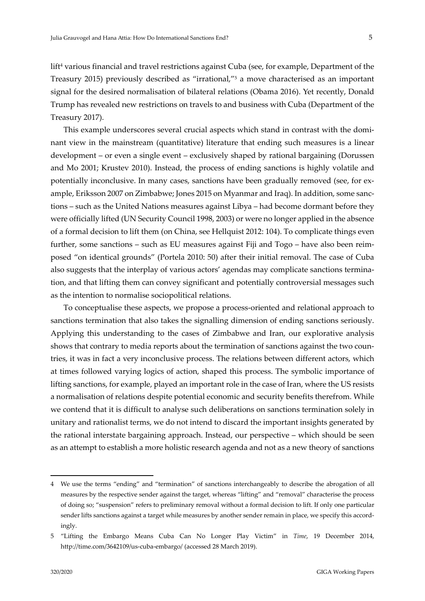lift<sup>4</sup> various financial and travel restrictions against Cuba (see, for example, Department of the Treasury 2015) previously described as "irrational,"5 a move characterised as an important signal for the desired normalisation of bilateral relations (Obama 2016). Yet recently, Donald Trump has revealed new restrictions on travels to and business with Cuba (Department of the Treasury 2017).

This example underscores several crucial aspects which stand in contrast with the dominant view in the mainstream (quantitative) literature that ending such measures is a linear development – or even a single event – exclusively shaped by rational bargaining (Dorussen and Mo 2001; Krustev 2010). Instead, the process of ending sanctions is highly volatile and potentially inconclusive. In many cases, sanctions have been gradually removed (see, for ex‐ ample, Eriksson 2007 on Zimbabwe; Jones 2015 on Myanmar and Iraq). In addition, some sanc‐ tions – such as the United Nations measures against Libya – had become dormant before they were officially lifted (UN Security Council 1998, 2003) or were no longer applied in the absence of a formal decision to lift them (on China, see Hellquist 2012: 104). To complicate things even further, some sanctions – such as EU measures against Fiji and Togo – have also been reim‐ posed "on identical grounds" (Portela 2010: 50) after their initial removal. The case of Cuba also suggests that the interplay of various actors' agendas may complicate sanctions termina‐ tion, and that lifting them can convey significant and potentially controversial messages such as the intention to normalise sociopolitical relations.

To conceptualise these aspects, we propose a process‐oriented and relational approach to sanctions termination that also takes the signalling dimension of ending sanctions seriously. Applying this understanding to the cases of Zimbabwe and Iran, our explorative analysis shows that contrary to media reports about the termination of sanctions against the two countries, it was in fact a very inconclusive process. The relations between different actors, which at times followed varying logics of action, shaped this process. The symbolic importance of lifting sanctions, for example, played an important role in the case of Iran, where the US resists a normalisation of relations despite potential economic and security benefits therefrom. While we contend that it is difficult to analyse such deliberations on sanctions termination solely in unitary and rationalist terms, we do not intend to discard the important insights generated by the rational interstate bargaining approach. Instead, our perspective – which should be seen as an attempt to establish a more holistic research agenda and not as a new theory of sanctions

<sup>4</sup> We use the terms "ending" and "termination" of sanctions interchangeably to describe the abrogation of all measures by the respective sender against the target, whereas "lifting" and "removal" characterise the process of doing so; "suspension" refers to preliminary removal without a formal decision to lift. If only one particular sender lifts sanctions against a target while measures by another sender remain in place, we specify this accordingly.

<sup>5</sup> "Lifting the Embargo Means Cuba Can No Longer Play Victim" in *Time*, 19 December 2014, http://time.com/3642109/us‐cuba‐embargo/ (accessed 28 March 2019).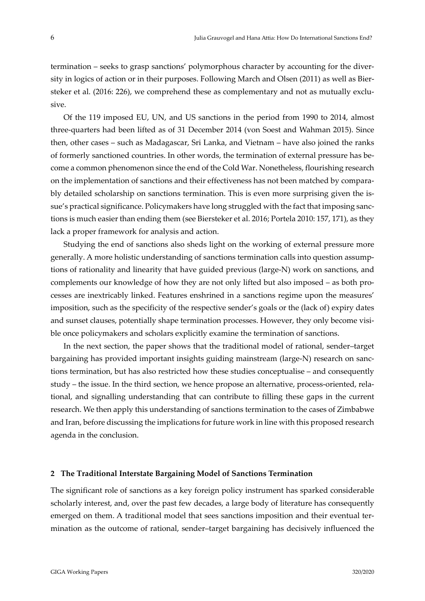termination – seeks to grasp sanctions' polymorphous character by accounting for the diversity in logics of action or in their purposes. Following March and Olsen (2011) as well as Biersteker et al. (2016: 226), we comprehend these as complementary and not as mutually exclusive.

Of the 119 imposed EU, UN, and US sanctions in the period from 1990 to 2014, almost three‐quarters had been lifted as of 31 December 2014 (von Soest and Wahman 2015). Since then, other cases – such as Madagascar, Sri Lanka, and Vietnam – have also joined the ranks of formerly sanctioned countries. In other words, the termination of external pressure has be‐ come a common phenomenon since the end of the Cold War. Nonetheless, flourishing research on the implementation of sanctions and their effectiveness has not been matched by compara‐ bly detailed scholarship on sanctions termination. This is even more surprising given the is‐ sue's practical significance. Policymakers have long struggled with the fact that imposing sanctions is much easier than ending them (see Biersteker et al. 2016; Portela 2010: 157, 171), as they lack a proper framework for analysis and action.

Studying the end of sanctions also sheds light on the working of external pressure more generally. A more holistic understanding of sanctions termination calls into question assump‐ tions of rationality and linearity that have guided previous (large‐N) work on sanctions, and complements our knowledge of how they are not only lifted but also imposed – as both processes are inextricably linked. Features enshrined in a sanctions regime upon the measures' imposition, such as the specificity of the respective sender's goals or the (lack of) expiry dates and sunset clauses, potentially shape termination processes. However, they only become visible once policymakers and scholars explicitly examine the termination of sanctions.

In the next section, the paper shows that the traditional model of rational, sender–target bargaining has provided important insights guiding mainstream (large‐N) research on sanc‐ tions termination, but has also restricted how these studies conceptualise – and consequently study – the issue. In the third section, we hence propose an alternative, process-oriented, relational, and signalling understanding that can contribute to filling these gaps in the current research. We then apply this understanding of sanctions termination to the cases of Zimbabwe and Iran, before discussing the implications for future work in line with this proposed research agenda in the conclusion.

### **2 The Traditional Interstate Bargaining Model of Sanctions Termination**

The significant role of sanctions as a key foreign policy instrument has sparked considerable scholarly interest, and, over the past few decades, a large body of literature has consequently emerged on them. A traditional model that sees sanctions imposition and their eventual termination as the outcome of rational, sender–target bargaining has decisively influenced the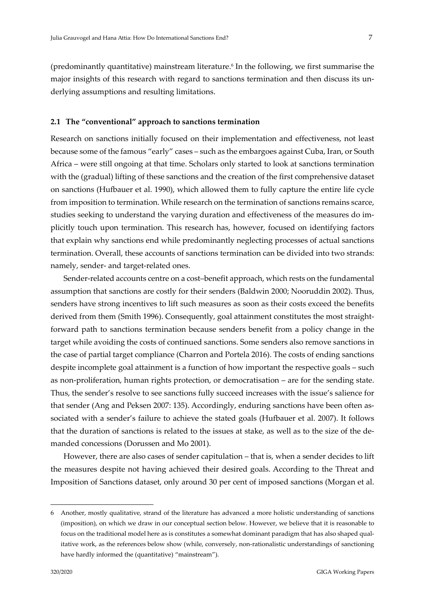(predominantly quantitative) mainstream literature.6 In the following, we first summarise the major insights of this research with regard to sanctions termination and then discuss its underlying assumptions and resulting limitations.

### **2.1 The "conventional" approach to sanctions termination**

Research on sanctions initially focused on their implementation and effectiveness, not least because some of the famous "early" cases – such as the embargoes against Cuba, Iran, or South Africa – were still ongoing at that time. Scholars only started to look at sanctions termination with the (gradual) lifting of these sanctions and the creation of the first comprehensive dataset on sanctions (Hufbauer et al. 1990), which allowed them to fully capture the entire life cycle from imposition to termination. While research on the termination of sanctions remains scarce, studies seeking to understand the varying duration and effectiveness of the measures do im‐ plicitly touch upon termination. This research has, however, focused on identifying factors that explain why sanctions end while predominantly neglecting processes of actual sanctions termination. Overall, these accounts of sanctions termination can be divided into two strands: namely, sender‐ and target‐related ones.

Sender-related accounts centre on a cost–benefit approach, which rests on the fundamental assumption that sanctions are costly for their senders (Baldwin 2000; Nooruddin 2002). Thus, senders have strong incentives to lift such measures as soon as their costs exceed the benefits derived from them (Smith 1996). Consequently, goal attainment constitutes the most straightforward path to sanctions termination because senders benefit from a policy change in the target while avoiding the costs of continued sanctions. Some senders also remove sanctions in the case of partial target compliance (Charron and Portela 2016). The costs of ending sanctions despite incomplete goal attainment is a function of how important the respective goals – such as non‐proliferation, human rights protection, or democratisation – are for the sending state. Thus, the sender's resolve to see sanctions fully succeed increases with the issue's salience for that sender (Ang and Peksen 2007: 135). Accordingly, enduring sanctions have been often as‐ sociated with a sender's failure to achieve the stated goals (Hufbauer et al. 2007). It follows that the duration of sanctions is related to the issues at stake, as well as to the size of the de‐ manded concessions (Dorussen and Mo 2001).

However, there are also cases of sender capitulation – that is, when a sender decides to lift the measures despite not having achieved their desired goals. According to the Threat and Imposition of Sanctions dataset, only around 30 per cent of imposed sanctions (Morgan et al.

1

<sup>6</sup> Another, mostly qualitative, strand of the literature has advanced a more holistic understanding of sanctions (imposition), on which we draw in our conceptual section below. However, we believe that it is reasonable to focus on the traditional model here as is constitutes a somewhat dominant paradigm that has also shaped qualitative work, as the references below show (while, conversely, non-rationalistic understandings of sanctioning have hardly informed the (quantitative) "mainstream").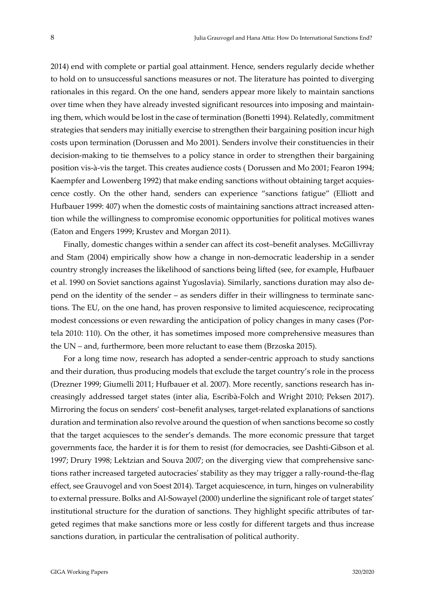2014) end with complete or partial goal attainment. Hence, senders regularly decide whether to hold on to unsuccessful sanctions measures or not. The literature has pointed to diverging rationales in this regard. On the one hand, senders appear more likely to maintain sanctions over time when they have already invested significant resources into imposing and maintain‐ ing them, which would be lost in the case of termination (Bonetti 1994). Relatedly, commitment strategies that senders may initially exercise to strengthen their bargaining position incur high costs upon termination (Dorussen and Mo 2001). Senders involve their constituencies in their decision-making to tie themselves to a policy stance in order to strengthen their bargaining position vis‐à‐vis the target. This creates audience costs ( Dorussen and Mo 2001; Fearon 1994; Kaempfer and Lowenberg 1992) that make ending sanctions without obtaining target acquies‐ cence costly. On the other hand, senders can experience "sanctions fatigue" (Elliott and Hufbauer 1999: 407) when the domestic costs of maintaining sanctions attract increased attention while the willingness to compromise economic opportunities for political motives wanes (Eaton and Engers 1999; Krustev and Morgan 2011).

Finally, domestic changes within a sender can affect its cost–benefit analyses. McGillivray and Stam (2004) empirically show how a change in non‐democratic leadership in a sender country strongly increases the likelihood of sanctions being lifted (see, for example, Hufbauer et al. 1990 on Soviet sanctions against Yugoslavia). Similarly, sanctions duration may also de‐ pend on the identity of the sender – as senders differ in their willingness to terminate sanc‐ tions. The EU, on the one hand, has proven responsive to limited acquiescence, reciprocating modest concessions or even rewarding the anticipation of policy changes in many cases (Por‐ tela 2010: 110). On the other, it has sometimes imposed more comprehensive measures than the UN – and, furthermore, been more reluctant to ease them (Brzoska 2015).

For a long time now, research has adopted a sender‐centric approach to study sanctions and their duration, thus producing models that exclude the target country's role in the process (Drezner 1999; Giumelli 2011; Hufbauer et al. 2007). More recently, sanctions research has in‐ creasingly addressed target states (inter alia, Escribà‐Folch and Wright 2010; Peksen 2017). Mirroring the focus on senders' cost-benefit analyses, target-related explanations of sanctions duration and termination also revolve around the question of when sanctions become so costly that the target acquiesces to the sender's demands. The more economic pressure that target governments face, the harder it is for them to resist (for democracies, see Dashti‐Gibson et al. 1997; Drury 1998; Lektzian and Souva 2007; on the diverging view that comprehensive sanc‐ tions rather increased targeted autocraciesʹ stability as they may trigger a rally‐round‐the‐flag effect, see Grauvogel and von Soest 2014). Target acquiescence, in turn, hinges on vulnerability to external pressure. Bolks and Al‐Sowayel (2000) underline the significant role of target states' institutional structure for the duration of sanctions. They highlight specific attributes of tar‐ geted regimes that make sanctions more or less costly for different targets and thus increase sanctions duration, in particular the centralisation of political authority.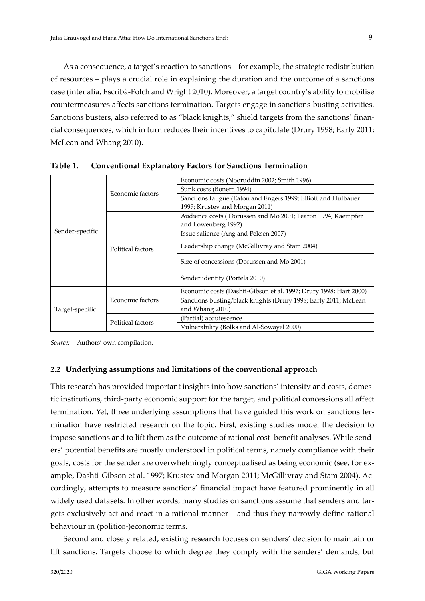As a consequence, a target's reaction to sanctions – for example, the strategic redistribution of resources – plays a crucial role in explaining the duration and the outcome of a sanctions case (inter alia, Escribà‐Folch and Wright 2010). Moreover, a target country's ability to mobilise countermeasures affects sanctions termination. Targets engage in sanctions‐busting activities. Sanctions busters, also referred to as "black knights," shield targets from the sanctions' finan‐ cial consequences, which in turn reduces their incentives to capitulate (Drury 1998; Early 2011; McLean and Whang 2010).

| Sender-specific | Economic factors  | Economic costs (Nooruddin 2002; Smith 1996)                       |  |
|-----------------|-------------------|-------------------------------------------------------------------|--|
|                 |                   | Sunk costs (Bonetti 1994)                                         |  |
|                 |                   | Sanctions fatigue (Eaton and Engers 1999; Elliott and Hufbauer    |  |
|                 |                   | 1999; Krustev and Morgan 2011)                                    |  |
|                 | Political factors | Audience costs (Dorussen and Mo 2001; Fearon 1994; Kaempfer       |  |
|                 |                   | and Lowenberg 1992)                                               |  |
|                 |                   | Issue salience (Ang and Peksen 2007)                              |  |
|                 |                   | Leadership change (McGillivray and Stam 2004)                     |  |
|                 |                   |                                                                   |  |
|                 |                   | Size of concessions (Dorussen and Mo 2001)                        |  |
|                 |                   | Sender identity (Portela 2010)                                    |  |
|                 |                   |                                                                   |  |
| Target-specific | Economic factors  | Economic costs (Dashti-Gibson et al. 1997; Drury 1998; Hart 2000) |  |
|                 |                   | Sanctions busting/black knights (Drury 1998; Early 2011; McLean   |  |
|                 |                   | and Whang 2010)                                                   |  |
|                 | Political factors | (Partial) acquiescence                                            |  |
|                 |                   | Vulnerability (Bolks and Al-Sowayel 2000)                         |  |

**Table 1. Conventional Explanatory Factors for Sanctions Termination**

*Source:* Authors' own compilation.

### **2.2 Underlying assumptions and limitations of the conventional approach**

This research has provided important insights into how sanctions' intensity and costs, domes‐ tic institutions, third‐party economic support for the target, and political concessions all affect termination. Yet, three underlying assumptions that have guided this work on sanctions ter‐ mination have restricted research on the topic. First, existing studies model the decision to impose sanctions and to lift them as the outcome of rational cost–benefit analyses. While senders' potential benefits are mostly understood in political terms, namely compliance with their goals, costs for the sender are overwhelmingly conceptualised as being economic (see, for example, Dashti-Gibson et al. 1997; Krustev and Morgan 2011; McGillivray and Stam 2004). Accordingly, attempts to measure sanctions' financial impact have featured prominently in all widely used datasets. In other words, many studies on sanctions assume that senders and targets exclusively act and react in a rational manner – and thus they narrowly define rational behaviour in (politico‐)economic terms.

Second and closely related, existing research focuses on senders' decision to maintain or lift sanctions. Targets choose to which degree they comply with the senders' demands, but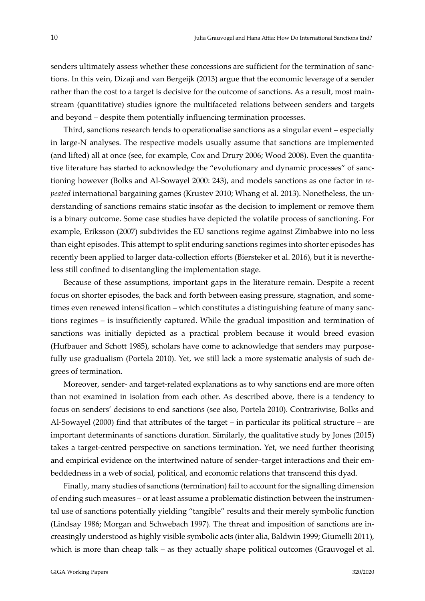senders ultimately assess whether these concessions are sufficient for the termination of sanctions. In this vein, Dizaji and van Bergeijk (2013) argue that the economic leverage of a sender rather than the cost to a target is decisive for the outcome of sanctions. As a result, most mainstream (quantitative) studies ignore the multifaceted relations between senders and targets and beyond – despite them potentially influencing termination processes.

Third, sanctions research tends to operationalise sanctions as a singular event – especially in large‐N analyses. The respective models usually assume that sanctions are implemented (and lifted) all at once (see, for example, Cox and Drury 2006; Wood 2008). Even the quantita‐ tive literature has started to acknowledge the "evolutionary and dynamic processes" of sanctioning however (Bolks and Al‐Sowayel 2000: 243), and models sanctions as one factor in *re‐ peated* international bargaining games (Krustev 2010; Whang et al. 2013). Nonetheless, the understanding of sanctions remains static insofar as the decision to implement or remove them is a binary outcome. Some case studies have depicted the volatile process of sanctioning. For example, Eriksson (2007) subdivides the EU sanctions regime against Zimbabwe into no less than eight episodes. This attempt to split enduring sanctions regimes into shorter episodes has recently been applied to larger data‐collection efforts (Biersteker et al. 2016), but it is neverthe‐ less still confined to disentangling the implementation stage.

Because of these assumptions, important gaps in the literature remain. Despite a recent focus on shorter episodes, the back and forth between easing pressure, stagnation, and sometimes even renewed intensification – which constitutes a distinguishing feature of many sanctions regimes – is insufficiently captured. While the gradual imposition and termination of sanctions was initially depicted as a practical problem because it would breed evasion (Hufbauer and Schott 1985), scholars have come to acknowledge that senders may purpose‐ fully use gradualism (Portela 2010). Yet, we still lack a more systematic analysis of such de‐ grees of termination.

Moreover, sender‐ and target‐related explanations as to why sanctions end are more often than not examined in isolation from each other. As described above, there is a tendency to focus on senders' decisions to end sanctions (see also, Portela 2010). Contrariwise, Bolks and Al-Sowayel (2000) find that attributes of the target – in particular its political structure – are important determinants of sanctions duration. Similarly, the qualitative study by Jones (2015) takes a target‐centred perspective on sanctions termination. Yet, we need further theorising and empirical evidence on the intertwined nature of sender–target interactions and their embeddedness in a web of social, political, and economic relations that transcend this dyad.

Finally, many studies of sanctions (termination) fail to account forthe signalling dimension of ending such measures – or at least assume a problematic distinction between the instrumen‐ tal use of sanctions potentially yielding "tangible" results and their merely symbolic function (Lindsay 1986; Morgan and Schwebach 1997). The threat and imposition of sanctions are in‐ creasingly understood as highly visible symbolic acts (inter alia, Baldwin 1999; Giumelli 2011), which is more than cheap talk – as they actually shape political outcomes (Grauvogel et al.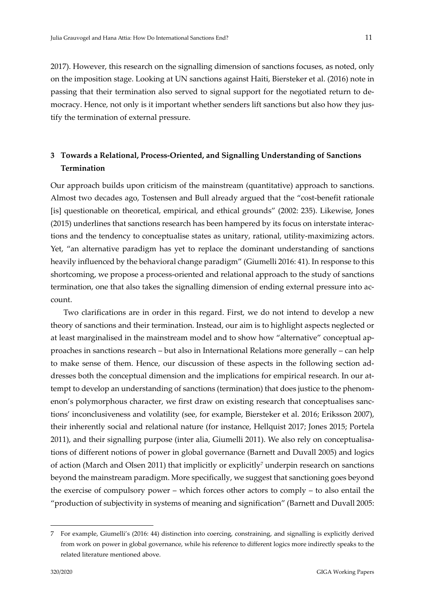2017). However, this research on the signalling dimension of sanctions focuses, as noted, only on the imposition stage. Looking at UN sanctions against Haiti, Biersteker et al. (2016) note in passing that their termination also served to signal support for the negotiated return to de‐ mocracy. Hence, not only is it important whether senders lift sanctions but also how they justify the termination of external pressure.

# **3 Towards a Relational, Process‐Oriented, and Signalling Understanding of Sanctions Termination**

Our approach builds upon criticism of the mainstream (quantitative) approach to sanctions. Almost two decades ago, Tostensen and Bull already argued that the "cost‐benefit rationale [is] questionable on theoretical, empirical, and ethical grounds" (2002: 235). Likewise, Jones (2015) underlines that sanctions research has been hampered by its focus on interstate interac‐ tions and the tendency to conceptualise states as unitary, rational, utility-maximizing actors. Yet, "an alternative paradigm has yet to replace the dominant understanding of sanctions heavily influenced by the behavioral change paradigm" (Giumelli 2016: 41). In response to this shortcoming, we propose a process-oriented and relational approach to the study of sanctions termination, one that also takes the signalling dimension of ending external pressure into account.

Two clarifications are in order in this regard. First, we do not intend to develop a new theory of sanctions and their termination. Instead, our aim is to highlight aspects neglected or at least marginalised in the mainstream model and to show how "alternative" conceptual ap‐ proaches in sanctions research – but also in International Relations more generally – can help to make sense of them. Hence, our discussion of these aspects in the following section addresses both the conceptual dimension and the implications for empirical research. In our attempt to develop an understanding of sanctions (termination) that does justice to the phenomenon's polymorphous character, we first draw on existing research that conceptualises sanctions' inconclusiveness and volatility (see, for example, Biersteker et al. 2016; Eriksson 2007), their inherently social and relational nature (for instance, Hellquist 2017; Jones 2015; Portela 2011), and their signalling purpose (inter alia, Giumelli 2011). We also rely on conceptualisations of different notions of power in global governance (Barnett and Duvall 2005) and logics of action (March and Olsen 2011) that implicitly or explicitly<sup>7</sup> underpin research on sanctions beyond the mainstream paradigm. More specifically, we suggest that sanctioning goes beyond the exercise of compulsory power – which forces other actors to comply – to also entail the "production of subjectivity in systems of meaning and signification" (Barnett and Duvall 2005:

<sup>7</sup> For example, Giumelli's (2016: 44) distinction into coercing, constraining, and signalling is explicitly derived from work on power in global governance, while his reference to different logics more indirectly speaks to the related literature mentioned above.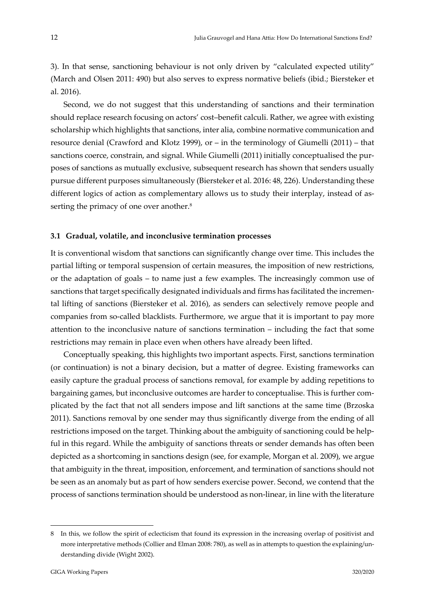3). In that sense, sanctioning behaviour is not only driven by "calculated expected utility" (March and Olsen 2011: 490) but also serves to express normative beliefs (ibid.; Biersteker et al. 2016).

Second, we do not suggest that this understanding of sanctions and their termination should replace research focusing on actors' cost–benefit calculi. Rather, we agree with existing scholarship which highlights that sanctions, inter alia, combine normative communication and resource denial (Crawford and Klotz 1999), or – in the terminology of Giumelli (2011) – that sanctions coerce, constrain, and signal. While Giumelli (2011) initially conceptualised the purposes of sanctions as mutually exclusive, subsequent research has shown that senders usually pursue different purposes simultaneously (Biersteker et al. 2016: 48, 226). Understanding these different logics of action as complementary allows us to study their interplay, instead of as‐ serting the primacy of one over another.<sup>8</sup>

### **3.1 Gradual, volatile, and inconclusive termination processes**

It is conventional wisdom that sanctions can significantly change over time. This includes the partial lifting or temporal suspension of certain measures, the imposition of new restrictions, or the adaptation of goals – to name just a few examples. The increasingly common use of sanctions that target specifically designated individuals and firms has facilitated the incremental lifting of sanctions (Biersteker et al. 2016), as senders can selectively remove people and companies from so‐called blacklists. Furthermore, we argue that it is important to pay more attention to the inconclusive nature of sanctions termination – including the fact that some restrictions may remain in place even when others have already been lifted.

Conceptually speaking, this highlights two important aspects. First, sanctions termination (or continuation) is not a binary decision, but a matter of degree. Existing frameworks can easily capture the gradual process of sanctions removal, for example by adding repetitions to bargaining games, but inconclusive outcomes are harder to conceptualise. This is further com‐ plicated by the fact that not all senders impose and lift sanctions at the same time (Brzoska 2011). Sanctions removal by one sender may thus significantly diverge from the ending of all restrictions imposed on the target. Thinking about the ambiguity of sanctioning could be helpful in this regard. While the ambiguity of sanctions threats or sender demands has often been depicted as a shortcoming in sanctions design (see, for example, Morgan et al. 2009), we argue that ambiguity in the threat, imposition, enforcement, and termination of sanctions should not be seen as an anomaly but as part of how senders exercise power. Second, we contend that the process of sanctions termination should be understood as non‐linear, in line with the literature

<sup>8</sup> In this, we follow the spirit of eclecticism that found its expression in the increasing overlap of positivist and more interpretative methods (Collier and Elman 2008: 780), as well as in attempts to question the explaining/understanding divide (Wight 2002).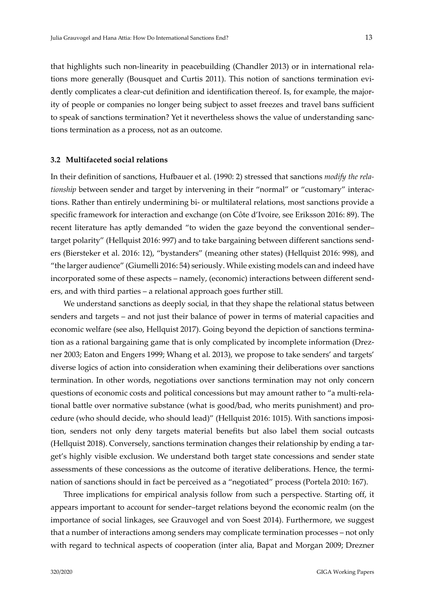that highlights such non-linearity in peacebuilding (Chandler 2013) or in international relations more generally (Bousquet and Curtis 2011). This notion of sanctions termination evi‐ dently complicates a clear-cut definition and identification thereof. Is, for example, the majority of people or companies no longer being subject to asset freezes and travel bans sufficient to speak of sanctions termination? Yet it nevertheless shows the value of understanding sanctions termination as a process, not as an outcome.

#### **3.2 Multifaceted social relations**

In their definition of sanctions, Hufbauer et al. (1990: 2) stressed that sanctions *modify the rela‐* tionship between sender and target by intervening in their "normal" or "customary" interactions. Rather than entirely undermining bi‐ or multilateral relations, most sanctions provide a specific framework for interaction and exchange (on Côte d'Ivoire, see Eriksson 2016: 89). The recent literature has aptly demanded "to widen the gaze beyond the conventional sender– target polarity" (Hellquist 2016: 997) and to take bargaining between different sanctions send‐ ers (Biersteker et al. 2016: 12), "bystanders" (meaning other states) (Hellquist 2016: 998), and "the larger audience" (Giumelli 2016: 54) seriously. While existing models can and indeed have incorporated some of these aspects – namely, (economic) interactions between different send‐ ers, and with third parties – a relational approach goes further still.

We understand sanctions as deeply social, in that they shape the relational status between senders and targets – and not just their balance of power in terms of material capacities and economic welfare (see also, Hellquist 2017). Going beyond the depiction of sanctions termination as a rational bargaining game that is only complicated by incomplete information (Drez‐ ner 2003; Eaton and Engers 1999; Whang et al. 2013), we propose to take senders' and targets' diverse logics of action into consideration when examining their deliberations over sanctions termination. In other words, negotiations over sanctions termination may not only concern questions of economic costs and political concessions but may amount rather to "a multi-relational battle over normative substance (what is good/bad, who merits punishment) and pro‐ cedure (who should decide, who should lead)" (Hellquist 2016: 1015). With sanctions imposition, senders not only deny targets material benefits but also label them social outcasts (Hellquist 2018). Conversely, sanctions termination changes their relationship by ending a tar‐ get's highly visible exclusion. We understand both target state concessions and sender state assessments of these concessions as the outcome of iterative deliberations. Hence, the termination of sanctions should in fact be perceived as a "negotiated" process (Portela 2010: 167).

Three implications for empirical analysis follow from such a perspective. Starting off, it appears important to account for sender–target relations beyond the economic realm (on the importance of social linkages, see Grauvogel and von Soest 2014). Furthermore, we suggest that a number of interactions among senders may complicate termination processes – not only with regard to technical aspects of cooperation (inter alia, Bapat and Morgan 2009; Drezner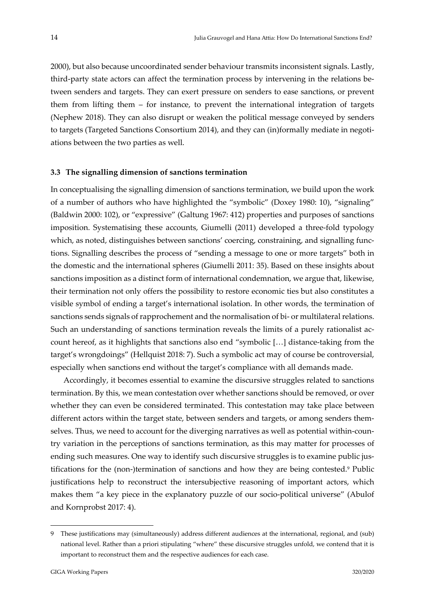2000), but also because uncoordinated sender behaviour transmits inconsistent signals. Lastly, third-party state actors can affect the termination process by intervening in the relations between senders and targets. They can exert pressure on senders to ease sanctions, or prevent them from lifting them – for instance, to prevent the international integration of targets (Nephew 2018). They can also disrupt or weaken the political message conveyed by senders to targets (Targeted Sanctions Consortium 2014), and they can (in)formally mediate in negotiations between the two parties as well.

### **3.3 The signalling dimension of sanctions termination**

In conceptualising the signalling dimension of sanctions termination, we build upon the work of a number of authors who have highlighted the "symbolic" (Doxey 1980: 10), "signaling" (Baldwin 2000: 102), or "expressive" (Galtung 1967: 412) properties and purposes of sanctions imposition. Systematising these accounts, Giumelli (2011) developed a three-fold typology which, as noted, distinguishes between sanctions' coercing, constraining, and signalling functions. Signalling describes the process of "sending a message to one or more targets" both in the domestic and the international spheres (Giumelli 2011: 35). Based on these insights about sanctions imposition as a distinct form of international condemnation, we argue that, likewise, their termination not only offers the possibility to restore economic ties but also constitutes a visible symbol of ending a target's international isolation. In other words, the termination of sanctions sends signals of rapprochement and the normalisation of bi- or multilateral relations. Such an understanding of sanctions termination reveals the limits of a purely rationalist account hereof, as it highlights that sanctions also end "symbolic [...] distance-taking from the target's wrongdoings" (Hellquist 2018: 7). Such a symbolic act may of course be controversial, especially when sanctions end without the target's compliance with all demands made.

Accordingly, it becomes essential to examine the discursive struggles related to sanctions termination. By this, we mean contestation over whether sanctions should be removed, or over whether they can even be considered terminated. This contestation may take place between different actors within the target state, between senders and targets, or among senders themselves. Thus, we need to account for the diverging narratives as well as potential within-country variation in the perceptions of sanctions termination, as this may matter for processes of ending such measures. One way to identify such discursive struggles is to examine public justifications for the (non-)termination of sanctions and how they are being contested.<sup>9</sup> Public justifications help to reconstruct the intersubjective reasoning of important actors, which makes them "a key piece in the explanatory puzzle of our socio-political universe" (Abulof and Kornprobst 2017: 4).

<sup>9</sup> These justifications may (simultaneously) address different audiences at the international, regional, and (sub) national level. Rather than a priori stipulating "where" these discursive struggles unfold, we contend that it is important to reconstruct them and the respective audiences for each case.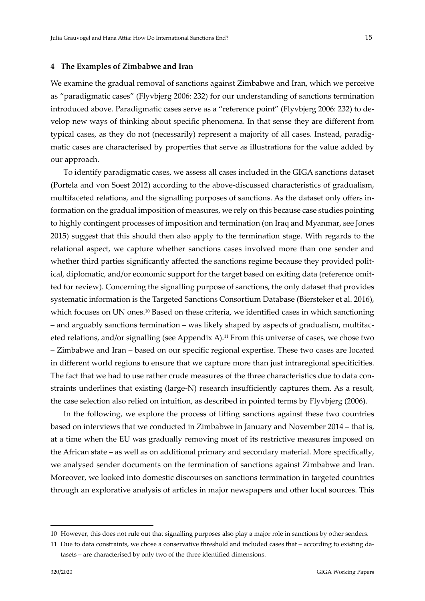#### **4 The Examples of Zimbabwe and Iran**

We examine the gradual removal of sanctions against Zimbabwe and Iran, which we perceive as "paradigmatic cases" (Flyvbjerg 2006: 232) for our understanding of sanctions termination introduced above. Paradigmatic cases serve as a "reference point" (Flyvbjerg 2006: 232) to de‐ velop new ways of thinking about specific phenomena. In that sense they are different from typical cases, as they do not (necessarily) represent a majority of all cases. Instead, paradig‐ matic cases are characterised by properties that serve as illustrations for the value added by our approach.

To identify paradigmatic cases, we assess all cases included in the GIGA sanctions dataset (Portela and von Soest 2012) according to the above‐discussed characteristics of gradualism, multifaceted relations, and the signalling purposes of sanctions. As the dataset only offers in‐ formation on the gradual imposition of measures, we rely on this because case studies pointing to highly contingent processes of imposition and termination (on Iraq and Myanmar, see Jones 2015) suggest that this should then also apply to the termination stage. With regards to the relational aspect, we capture whether sanctions cases involved more than one sender and whether third parties significantly affected the sanctions regime because they provided political, diplomatic, and/or economic support for the target based on exiting data (reference omitted for review). Concerning the signalling purpose of sanctions, the only dataset that provides systematic information is the Targeted Sanctions Consortium Database (Biersteker et al. 2016), which focuses on UN ones.<sup>10</sup> Based on these criteria, we identified cases in which sanctioning – and arguably sanctions termination – was likely shaped by aspects of gradualism, multifac‐ eted relations, and/or signalling (see Appendix A).11 From this universe of cases, we chose two – Zimbabwe and Iran – based on our specific regional expertise. These two cases are located in different world regions to ensure that we capture more than just intraregional specificities. The fact that we had to use rather crude measures of the three characteristics due to data constraints underlines that existing (large‐N) research insufficiently captures them. As a result, the case selection also relied on intuition, as described in pointed terms by Flyvbjerg (2006).

In the following, we explore the process of lifting sanctions against these two countries based on interviews that we conducted in Zimbabwe in January and November 2014 – that is, at a time when the EU was gradually removing most of its restrictive measures imposed on the African state – as well as on additional primary and secondary material. More specifically, we analysed sender documents on the termination of sanctions against Zimbabwe and Iran. Moreover, we looked into domestic discourses on sanctions termination in targeted countries through an explorative analysis of articles in major newspapers and other local sources. This

<sup>10</sup> However, this does not rule out that signalling purposes also play a major role in sanctions by other senders.

<sup>11</sup> Due to data constraints, we chose a conservative threshold and included cases that – according to existing da‐ tasets – are characterised by only two of the three identified dimensions.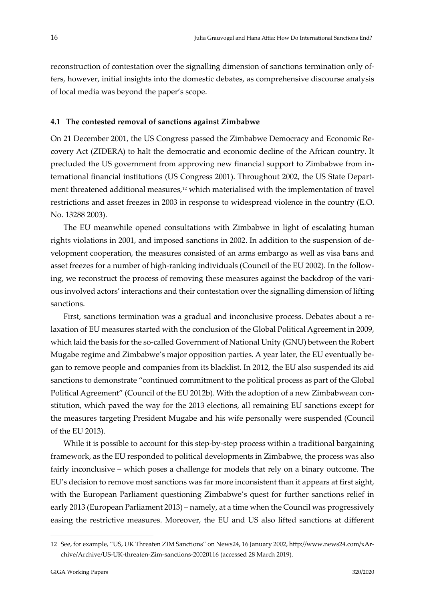reconstruction of contestation over the signalling dimension of sanctions termination only offers, however, initial insights into the domestic debates, as comprehensive discourse analysis of local media was beyond the paper's scope.

### **4.1 The contested removal of sanctions against Zimbabwe**

On 21 December 2001, the US Congress passed the Zimbabwe Democracy and Economic Re‐ covery Act (ZIDERA) to halt the democratic and economic decline of the African country. It precluded the US government from approving new financial support to Zimbabwe from in‐ ternational financial institutions (US Congress 2001). Throughout 2002, the US State Depart‐ ment threatened additional measures,<sup>12</sup> which materialised with the implementation of travel restrictions and asset freezes in 2003 in response to widespread violence in the country (E.O. No. 13288 2003).

The EU meanwhile opened consultations with Zimbabwe in light of escalating human rights violations in 2001, and imposed sanctions in 2002. In addition to the suspension of de‐ velopment cooperation, the measures consisted of an arms embargo as well as visa bans and asset freezes for a number of high-ranking individuals (Council of the EU 2002). In the following, we reconstruct the process of removing these measures against the backdrop of the various involved actors' interactions and their contestation over the signalling dimension of lifting sanctions.

First, sanctions termination was a gradual and inconclusive process. Debates about a relaxation of EU measures started with the conclusion of the Global Political Agreement in 2009, which laid the basis for the so-called Government of National Unity (GNU) between the Robert Mugabe regime and Zimbabwe's major opposition parties. A year later, the EU eventually be‐ gan to remove people and companies from its blacklist. In 2012, the EU also suspended its aid sanctions to demonstrate "continued commitment to the political process as part of the Global Political Agreement" (Council of the EU 2012b). With the adoption of a new Zimbabwean con‐ stitution, which paved the way for the 2013 elections, all remaining EU sanctions except for the measures targeting President Mugabe and his wife personally were suspended (Council of the EU 2013).

While it is possible to account for this step-by-step process within a traditional bargaining framework, as the EU responded to political developments in Zimbabwe, the process was also fairly inconclusive – which poses a challenge for models that rely on a binary outcome. The EU's decision to remove most sanctions was far more inconsistent than it appears at first sight, with the European Parliament questioning Zimbabwe's quest for further sanctions relief in early 2013 (European Parliament 2013) – namely, at a time when the Council was progressively easing the restrictive measures. Moreover, the EU and US also lifted sanctions at different

<sup>12</sup> See, for example, "US, UK Threaten ZIM Sanctions" on News24, 16 January 2002, http://www.news24.com/xAr‐ chive/Archive/US‐UK‐threaten‐Zim‐sanctions‐20020116 (accessed 28 March 2019).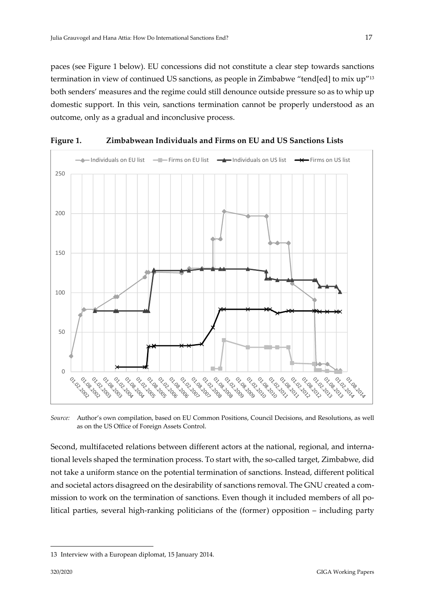paces (see Figure 1 below). EU concessions did not constitute a clear step towards sanctions termination in view of continued US sanctions, as people in Zimbabwe "tend[ed] to mix up"13 both senders' measures and the regime could still denounce outside pressure so as to whip up domestic support. In this vein, sanctions termination cannot be properly understood as an outcome, only as a gradual and inconclusive process.



**Figure 1. Zimbabwean Individuals and Firms on EU and US Sanctions Lists**

*Source:* Author's own compilation, based on EU Common Positions, Council Decisions, and Resolutions, as well as on the US Office of Foreign Assets Control.

Second, multifaceted relations between different actors at the national, regional, and international levels shaped the termination process. To start with, the so-called target, Zimbabwe, did not take a uniform stance on the potential termination of sanctions. Instead, different political and societal actors disagreed on the desirability of sanctions removal. The GNU created a commission to work on the termination of sanctions. Even though it included members of all political parties, several high-ranking politicians of the (former) opposition – including party

<sup>13</sup> Interview with a European diplomat, 15 January 2014.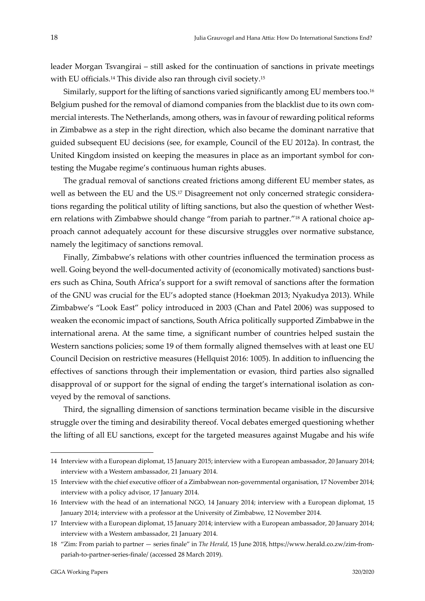leader Morgan Tsvangirai – still asked for the continuation of sanctions in private meetings with EU officials.<sup>14</sup> This divide also ran through civil society.<sup>15</sup>

Similarly, support for the lifting of sanctions varied significantly among EU members too.<sup>16</sup> Belgium pushed for the removal of diamond companies from the blacklist due to its own commercial interests. The Netherlands, among others, was in favour of rewarding political reforms in Zimbabwe as a step in the right direction, which also became the dominant narrative that guided subsequent EU decisions (see, for example, Council of the EU 2012a). In contrast, the United Kingdom insisted on keeping the measures in place as an important symbol for con‐ testing the Mugabe regime's continuous human rights abuses.

The gradual removal of sanctions created frictions among different EU member states, as well as between the EU and the US.<sup>17</sup> Disagreement not only concerned strategic considerations regarding the political utility of lifting sanctions, but also the question of whether Western relations with Zimbabwe should change "from pariah to partner."<sup>18</sup> A rational choice approach cannot adequately account for these discursive struggles over normative substance, namely the legitimacy of sanctions removal.

Finally, Zimbabwe's relations with other countries influenced the termination process as well. Going beyond the well-documented activity of (economically motivated) sanctions busters such as China, South Africa's support for a swift removal of sanctions after the formation of the GNU was crucial for the EU's adopted stance (Hoekman 2013; Nyakudya 2013). While Zimbabwe's "Look East" policy introduced in 2003 (Chan and Patel 2006) was supposed to weaken the economic impact of sanctions, South Africa politically supported Zimbabwe in the international arena. At the same time, a significant number of countries helped sustain the Western sanctions policies; some 19 of them formally aligned themselves with at least one EU Council Decision on restrictive measures (Hellquist 2016: 1005). In addition to influencing the effectives of sanctions through their implementation or evasion, third parties also signalled disapproval of or support for the signal of ending the target's international isolation as con‐ veyed by the removal of sanctions.

Third, the signalling dimension of sanctions termination became visible in the discursive struggle over the timing and desirability thereof. Vocal debates emerged questioning whether the lifting of all EU sanctions, except for the targeted measures against Mugabe and his wife

<sup>14</sup> Interview with a European diplomat, 15 January 2015; interview with a European ambassador, 20 January 2014; interview with a Western ambassador, 21 January 2014.

<sup>15</sup> Interview with the chief executive officer of a Zimbabwean non‐governmental organisation, 17 November 2014; interview with a policy advisor, 17 January 2014.

<sup>16</sup> Interview with the head of an international NGO, 14 January 2014; interview with a European diplomat, 15 January 2014; interview with a professor at the University of Zimbabwe, 12 November 2014.

<sup>17</sup> Interview with a European diplomat, 15 January 2014; interview with a European ambassador, 20 January 2014; interview with a Western ambassador, 21 January 2014.

<sup>18</sup> "Zim: From pariah to partner — series finale" in *The Herald*, 15 June 2018, https://www.herald.co.zw/zim‐from‐ pariah‐to‐partner‐series‐finale/ (accessed 28 March 2019).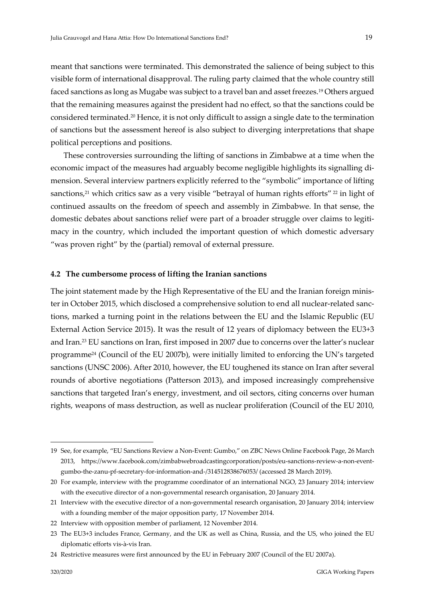meant that sanctions were terminated. This demonstrated the salience of being subject to this visible form of international disapproval. The ruling party claimed that the whole country still faced sanctions as long as Mugabe was subject to a travel ban and asset freezes.19 Others argued that the remaining measures against the president had no effect, so that the sanctions could be considered terminated.20 Hence, it is not only difficult to assign a single date to the termination of sanctions but the assessment hereof is also subject to diverging interpretations that shape political perceptions and positions.

These controversies surrounding the lifting of sanctions in Zimbabwe at a time when the economic impact of the measures had arguably become negligible highlights its signalling di‐ mension. Several interview partners explicitly referred to the "symbolic" importance of lifting sanctions,<sup>21</sup> which critics saw as a very visible "betrayal of human rights efforts"  $^{22}$  in light of continued assaults on the freedom of speech and assembly in Zimbabwe. In that sense, the domestic debates about sanctions relief were part of a broader struggle over claims to legitimacy in the country, which included the important question of which domestic adversary "was proven right" by the (partial) removal of external pressure.

#### **4.2 The cumbersome process of lifting the Iranian sanctions**

The joint statement made by the High Representative of the EU and the Iranian foreign minister in October 2015, which disclosed a comprehensive solution to end all nuclear-related sanctions, marked a turning point in the relations between the EU and the Islamic Republic (EU External Action Service 2015). It was the result of 12 years of diplomacy between the EU3+3 and Iran.23 EU sanctions on Iran, first imposed in 2007 due to concerns over the latter's nuclear programme24 (Council of the EU 2007b), were initially limited to enforcing the UN's targeted sanctions (UNSC 2006). After 2010, however, the EU toughened its stance on Iran after several rounds of abortive negotiations (Patterson 2013), and imposed increasingly comprehensive sanctions that targeted Iran's energy, investment, and oil sectors, citing concerns over human rights, weapons of mass destruction, as well as nuclear proliferation (Council of the EU 2010,

<sup>19</sup> See, for example, "EU Sanctions Review a Non‐Event: Gumbo," on ZBC News Online Facebook Page, 26 March 2013, https://www.facebook.com/zimbabwebroadcastingcorporation/posts/eu-sanctions-review-a-non-eventgumbo‐the‐zanu‐pf‐secretary‐for‐information‐and‐/314512838676053/ (accessed 28 March 2019).

<sup>20</sup> For example, interview with the programme coordinator of an international NGO, 23 January 2014; interview with the executive director of a non-governmental research organisation, 20 January 2014.

<sup>21</sup> Interview with the executive director of a non‐governmental research organisation, 20 January 2014; interview with a founding member of the major opposition party, 17 November 2014.

<sup>22</sup> Interview with opposition member of parliament, 12 November 2014.

<sup>23</sup> The EU3+3 includes France, Germany, and the UK as well as China, Russia, and the US, who joined the EU diplomatic efforts vis‐à‐vis Iran.

<sup>24</sup> Restrictive measures were first announced by the EU in February 2007 (Council of the EU 2007a).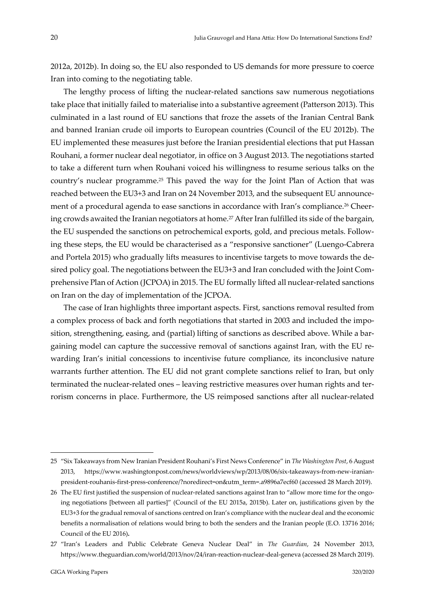2012a, 2012b). In doing so, the EU also responded to US demands for more pressure to coerce Iran into coming to the negotiating table.

The lengthy process of lifting the nuclear-related sanctions saw numerous negotiations take place that initially failed to materialise into a substantive agreement (Patterson 2013). This culminated in a last round of EU sanctions that froze the assets of the Iranian Central Bank and banned Iranian crude oil imports to European countries (Council of the EU 2012b). The EU implemented these measures just before the Iranian presidential elections that put Hassan Rouhani, a former nuclear deal negotiator, in office on 3 August 2013. The negotiations started to take a different turn when Rouhani voiced his willingness to resume serious talks on the country's nuclear programme.25 This paved the way for the Joint Plan of Action that was reached between the EU3+3 and Iran on 24 November 2013, and the subsequent EU announce‐ ment of a procedural agenda to ease sanctions in accordance with Iran's compliance.<sup>26</sup> Cheering crowds awaited the Iranian negotiators at home.<sup>27</sup> After Iran fulfilled its side of the bargain, the EU suspended the sanctions on petrochemical exports, gold, and precious metals. Follow‐ ing these steps, the EU would be characterised as a "responsive sanctioner" (Luengo‐Cabrera and Portela 2015) who gradually lifts measures to incentivise targets to move towards the de‐ sired policy goal. The negotiations between the EU3+3 and Iran concluded with the Joint Comprehensive Plan of Action (JCPOA) in 2015. The EU formally lifted all nuclear-related sanctions on Iran on the day of implementation of the JCPOA.

The case of Iran highlights three important aspects. First, sanctions removal resulted from a complex process of back and forth negotiations that started in 2003 and included the imposition, strengthening, easing, and (partial) lifting of sanctions as described above. While a bargaining model can capture the successive removal of sanctions against Iran, with the EU re‐ warding Iran's initial concessions to incentivise future compliance, its inconclusive nature warrants further attention. The EU did not grant complete sanctions relief to Iran, but only terminated the nuclear-related ones – leaving restrictive measures over human rights and terrorism concerns in place. Furthermore, the US reimposed sanctions after all nuclear‐related

<sup>25</sup> "Six Takeaways from New Iranian President Rouhani's First News Conference" in *The Washington Post*, 6 August 2013, https://www.washingtonpost.com/news/worldviews/wp/2013/08/06/six-takeaways-from-new-iranianpresident-rouhanis-first-press-conference/?noredirect=on&utm\_term=.a9896a7ecf60 (accessed 28 March 2019).

<sup>26</sup> The EU first justified the suspension of nuclear-related sanctions against Iran to "allow more time for the ongoing negotiations [between all parties]" (Council of the EU 2015a, 2015b). Later on, justifications given by the EU3+3 for the gradual removal of sanctions centred on Iran's compliance with the nuclear deal and the economic benefits a normalisation of relations would bring to both the senders and the Iranian people (E.O. 13716 2016; Council of the EU 2016)**.**

<sup>27</sup> "Iran's Leaders and Public Celebrate Geneva Nuclear Deal" in *The Guardian*, 24 November 2013, https://www.theguardian.com/world/2013/nov/24/iran-reaction-nuclear-deal-geneva (accessed 28 March 2019).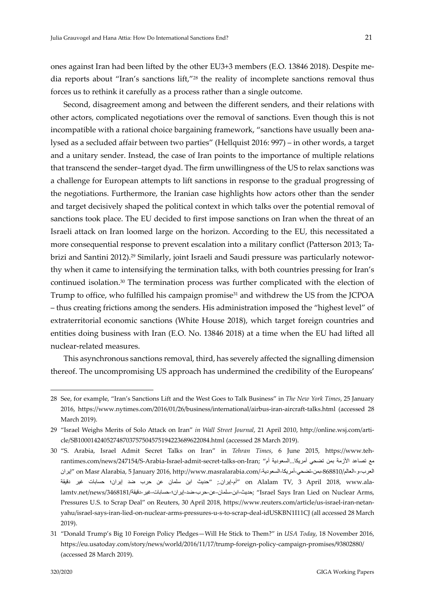ones against Iran had been lifted by the other EU3+3 members (E.O. 13846 2018). Despite me‐ dia reports about "Iran's sanctions lift,"28 the reality of incomplete sanctions removal thus forces us to rethink it carefully as a process rather than a single outcome.

Second, disagreement among and between the different senders, and their relations with other actors, complicated negotiations over the removal of sanctions. Even though this is not incompatible with a rational choice bargaining framework, "sanctions have usually been analysed as a secluded affair between two parties" (Hellquist 2016: 997) – in other words, a target and a unitary sender. Instead, the case of Iran points to the importance of multiple relations that transcend the sender–target dyad. The firm unwillingness of the US to relax sanctions was a challenge for European attempts to lift sanctions in response to the gradual progressing of the negotiations. Furthermore, the Iranian case highlights how actors other than the sender and target decisively shaped the political context in which talks over the potential removal of sanctions took place. The EU decided to first impose sanctions on Iran when the threat of an Israeli attack on Iran loomed large on the horizon. According to the EU, this necessitated a more consequential response to prevent escalation into a military conflict (Patterson 2013; Tabrizi and Santini 2012).<sup>29</sup> Similarly, joint Israeli and Saudi pressure was particularly noteworthy when it came to intensifying the termination talks, with both countries pressing for Iran's continued isolation.30 The termination process was further complicated with the election of Trump to office, who fulfilled his campaign promise31 and withdrew the US from the JCPOA – thus creating frictions among the senders. His administration imposed the "highest level" of extraterritorial economic sanctions (White House 2018), which target foreign countries and entities doing business with Iran (E.O. No. 13846 2018) at a time when the EU had lifted all nuclear‐related measures.

This asynchronous sanctions removal, third, has severely affected the signalling dimension thereof. The uncompromising US approach has undermined the credibility of the Europeans'

1

<sup>28</sup> See, for example, "Iran's Sanctions Lift and the West Goes to Talk Business" in *The New York Times*, 25 January 2016, https://www.nytimes.com/2016/01/26/business/international/airbus‐iran‐aircraft‐talks.html (accessed 28 March 2019).

<sup>29</sup> "Israel Weighs Merits of Solo Attack on Iran" *in Wall Street Journal*, 21 April 2010, http://online.wsj.com/arti‐ cle/SB10001424052748703757504575194223689622084.html (accessed 28 March 2019).

<sup>30</sup> "S. Arabia, Israel Admit Secret Talks on Iran" in *Tehran Times*, 6 June 2015, https://www.teh‐ rantimes.com/news/247154/S‐Arabia‐Israel‐admit‐secret‐talks‐on‐Iran; "ألأزمة بعن تضحي أمريكا السعودية أم العرب‐و‐العالم/868810-بمن‐تضحي‐أمریكا-السعودیة۔/com.Masr Alarabia, 5 January 2016, http://www.masralarabia.com /إیران ‐ala.www 2018, April 3 ,TV Alalam on" أم‐إیران.; "حدیث ابن سلمان عن حرب ضد إیران؛ حسابات غیر دقیقة ,Arael Says Iran Lied on Nuclear Arms محدیث‐ابن‐سلمان‐عن‐حرب‐ضد‐إیران؛‐حسابات‐غیر‐دقیقة/14681817/1ews/ محدوث Pressures U.S. to Scrap Deal" on Reuters, 30 April 2018, https://www.reuters.com/article/us-israel-iran-netanyahu/israel‐says‐iran‐lied‐on‐nuclear‐arms‐pressures‐u‐s‐to‐scrap‐deal‐idUSKBN1I11CJ (all accessed 28 March 2019).

<sup>31</sup> "Donald Trump's Big 10 Foreign Policy Pledges—Will He Stick to Them?" in *USA Today*, 18 November 2016, https://eu.usatoday.com/story/news/world/2016/11/17/trump‐foreign‐policy‐campaign‐promises/93802880/ (accessed 28 March 2019).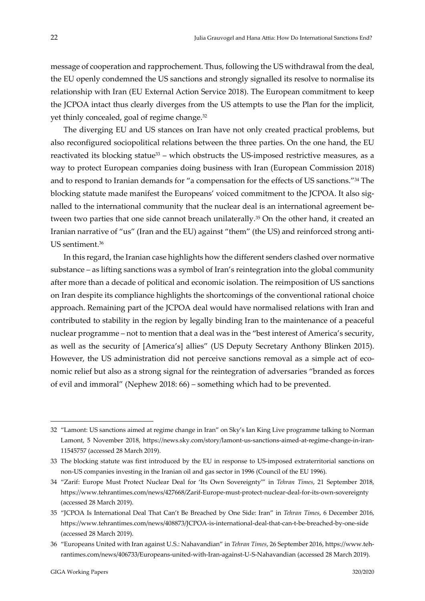message of cooperation and rapprochement. Thus, following the US withdrawal from the deal, the EU openly condemned the US sanctions and strongly signalled its resolve to normalise its relationship with Iran (EU External Action Service 2018). The European commitment to keep the JCPOA intact thus clearly diverges from the US attempts to use the Plan for the implicit, yet thinly concealed, goal of regime change.<sup>32</sup>

The diverging EU and US stances on Iran have not only created practical problems, but also reconfigured sociopolitical relations between the three parties. On the one hand, the EU reactivated its blocking statue<sup>33</sup> – which obstructs the US-imposed restrictive measures, as a way to protect European companies doing business with Iran (European Commission 2018) and to respond to Iranian demands for "a compensation for the effects of US sanctions."34 The blocking statute made manifest the Europeans' voiced commitment to the JCPOA. It also signalled to the international community that the nuclear deal is an international agreement between two parties that one side cannot breach unilaterally.<sup>35</sup> On the other hand, it created an Iranian narrative of "us" (Iran and the EU) against "them" (the US) and reinforced strong anti-US sentiment.36

In this regard, the Iranian case highlights how the different senders clashed over normative substance – as lifting sanctions was a symbol of Iran's reintegration into the global community after more than a decade of political and economic isolation. The reimposition of US sanctions on Iran despite its compliance highlights the shortcomings of the conventional rational choice approach. Remaining part of the JCPOA deal would have normalised relations with Iran and contributed to stability in the region by legally binding Iran to the maintenance of a peaceful nuclear programme – not to mention that a deal was in the "best interest of America's security, as well as the security of [America's] allies" (US Deputy Secretary Anthony Blinken 2015). However, the US administration did not perceive sanctions removal as a simple act of economic relief but also as a strong signal for the reintegration of adversaries "branded as forces of evil and immoral" (Nephew 2018: 66) – something which had to be prevented.

1

<sup>32</sup> "Lamont: US sanctions aimed at regime change in Iran" on Sky's Ian King Live programme talking to Norman Lamont, 5 November 2018, https://news.sky.com/story/lamont-us-sanctions-aimed-at-regime-change-in-iran-11545757 (accessed 28 March 2019).

<sup>33</sup> The blocking statute was first introduced by the EU in response to US‐imposed extraterritorial sanctions on non‐US companies investing in the Iranian oil and gas sector in 1996 (Council of the EU 1996).

<sup>34</sup> "Zarif: Europe Must Protect Nuclear Deal for 'Its Own Sovereignty'" in *Tehran Times*, 21 September 2018, https://www.tehrantimes.com/news/427668/Zarif‐Europe‐must‐protect‐nuclear‐deal‐for‐its‐own‐sovereignty (accessed 28 March 2019).

<sup>35</sup> "JCPOA Is International Deal That Can't Be Breached by One Side: Iran" in *Tehran Times*, 6 December 2016, https://www.tehrantimes.com/news/408873/JCPOA‐is‐international‐deal‐that‐can‐t‐be‐breached‐by‐one‐side (accessed 28 March 2019).

<sup>36</sup> "Europeans United with Iran against U.S.: Nahavandian" in *Tehran Times*, 26 September 2016, https://www.teh‐ rantimes.com/news/406733/Europeans‐united‐with‐Iran‐against‐U‐S‐Nahavandian (accessed 28 March 2019).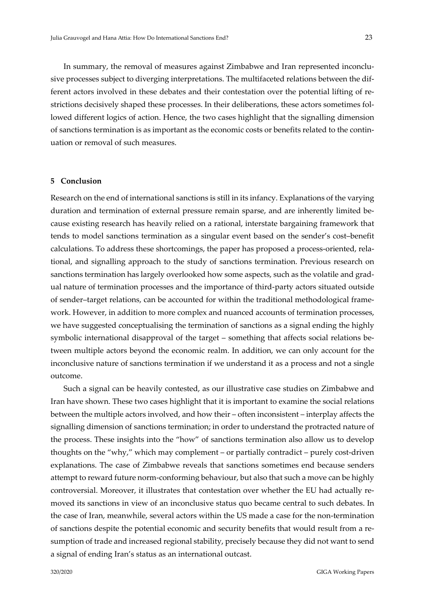In summary, the removal of measures against Zimbabwe and Iran represented inconclusive processes subject to diverging interpretations. The multifaceted relations between the dif‐ ferent actors involved in these debates and their contestation over the potential lifting of restrictions decisively shaped these processes. In their deliberations, these actors sometimes fol‐ lowed different logics of action. Hence, the two cases highlight that the signalling dimension of sanctions termination is as important as the economic costs or benefits related to the contin‐ uation or removal of such measures.

### **5 Conclusion**

Research on the end of international sanctions is still in its infancy. Explanations of the varying duration and termination of external pressure remain sparse, and are inherently limited be‐ cause existing research has heavily relied on a rational, interstate bargaining framework that tends to model sanctions termination as a singular event based on the sender's cost–benefit calculations. To address these shortcomings, the paper has proposed a process-oriented, relational, and signalling approach to the study of sanctions termination. Previous research on sanctions termination has largely overlooked how some aspects, such as the volatile and gradual nature of termination processes and the importance of third-party actors situated outside of sender–target relations, can be accounted for within the traditional methodological frame‐ work. However, in addition to more complex and nuanced accounts of termination processes, we have suggested conceptualising the termination of sanctions as a signal ending the highly symbolic international disapproval of the target – something that affects social relations between multiple actors beyond the economic realm. In addition, we can only account for the inconclusive nature of sanctions termination if we understand it as a process and not a single outcome.

Such a signal can be heavily contested, as our illustrative case studies on Zimbabwe and Iran have shown. These two cases highlight that it is important to examine the social relations between the multiple actors involved, and how their – often inconsistent – interplay affects the signalling dimension of sanctions termination; in order to understand the protracted nature of the process. These insights into the "how" of sanctions termination also allow us to develop thoughts on the "why," which may complement – or partially contradict – purely cost‐driven explanations. The case of Zimbabwe reveals that sanctions sometimes end because senders attempt to reward future norm‐conforming behaviour, but also that such a move can be highly controversial. Moreover, it illustrates that contestation over whether the EU had actually re‐ moved its sanctions in view of an inconclusive status quo became central to such debates. In the case of Iran, meanwhile, several actors within the US made a case for the non‐termination of sanctions despite the potential economic and security benefits that would result from a re‐ sumption of trade and increased regional stability, precisely because they did not want to send a signal of ending Iran's status as an international outcast.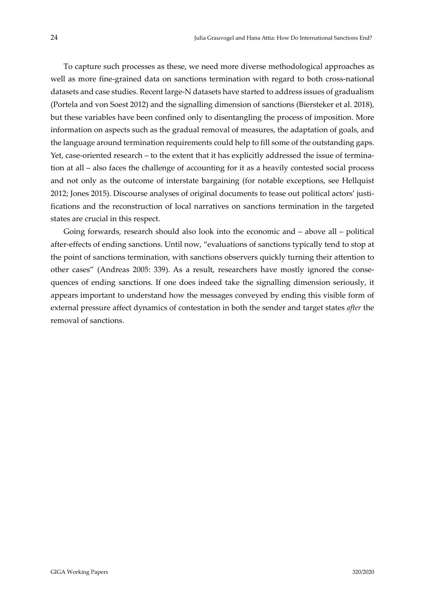To capture such processes as these, we need more diverse methodological approaches as well as more fine-grained data on sanctions termination with regard to both cross-national datasets and case studies. Recent large‐N datasets have started to address issues of gradualism (Portela and von Soest 2012) and the signalling dimension of sanctions (Biersteker et al. 2018), but these variables have been confined only to disentangling the process of imposition. More information on aspects such as the gradual removal of measures, the adaptation of goals, and the language around termination requirements could help to fill some of the outstanding gaps. Yet, case-oriented research – to the extent that it has explicitly addressed the issue of termination at all – also faces the challenge of accounting for it as a heavily contested social process and not only as the outcome of interstate bargaining (for notable exceptions, see Hellquist 2012; Jones 2015). Discourse analyses of original documents to tease out political actors' justi‐ fications and the reconstruction of local narratives on sanctions termination in the targeted states are crucial in this respect.

Going forwards, research should also look into the economic and – above all – political after‐effects of ending sanctions. Until now, "evaluations of sanctions typically tend to stop at the point of sanctions termination, with sanctions observers quickly turning their attention to other cases" (Andreas 2005: 339). As a result, researchers have mostly ignored the conse‐ quences of ending sanctions. If one does indeed take the signalling dimension seriously, it appears important to understand how the messages conveyed by ending this visible form of external pressure affect dynamics of contestation in both the sender and target states *after* the removal of sanctions.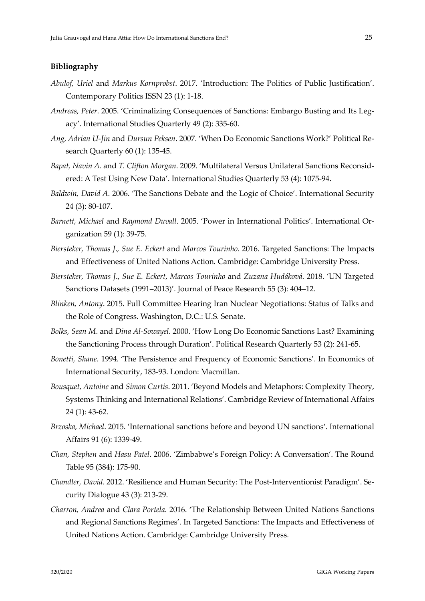### **Bibliography**

- *Abulof, Uriel* and *Markus Kornprobst*. 2017. 'Introduction: The Politics of Public Justification'. Contemporary Politics ISSN 23 (1): 1‐18.
- *Andreas, Peter*. 2005. 'Criminalizing Consequences of Sanctions: Embargo Busting and Its Leg‐ acy'. International Studies Quarterly 49 (2): 335‐60.
- *Ang, Adrian U‐Jin* and *Dursun Peksen*. 2007. 'When Do Economic Sanctions Work?' Political Re‐ search Quarterly 60 (1): 135-45.
- *Bapat, Navin A.* and *T. Clifton Morgan*. 2009. 'Multilateral Versus Unilateral Sanctions Reconsid‐ ered: A Test Using New Data'. International Studies Quarterly 53 (4): 1075‐94.
- *Baldwin, David A*. 2006. 'The Sanctions Debate and the Logic of Choice'. International Security 24 (3): 80‐107.
- *Barnett, Michael* and *Raymond Duvall*. 2005. 'Power in International Politics'. International Or‐ ganization 59 (1): 39‐75.
- *Biersteker, Thomas J*.*, Sue E. Eckert* and *Marcos Tourinho*. 2016. Targeted Sanctions: The Impacts and Effectiveness of United Nations Action*.* Cambridge: Cambridge University Press.
- *Biersteker, Thomas J*., *Sue E. Eckert*, *Marcos Tourinho* and *Zuzana Hudáková*. 2018. 'UN Targeted Sanctions Datasets (1991–2013)'. Journal of Peace Research 55 (3): 404–12.
- *Blinken, Antony*. 2015. Full Committee Hearing Iran Nuclear Negotiations: Status of Talks and the Role of Congress. Washington, D.C.: U.S. Senate.
- *Bolks, Sean M*. and *Dina Al‐Sowayel*. 2000. 'How Long Do Economic Sanctions Last? Examining the Sanctioning Process through Duration'. Political Research Quarterly 53 (2): 241‐65.
- *Bonetti, Shane*. 1994. 'The Persistence and Frequency of Economic Sanctions'. In Economics of International Security, 183‐93. London: Macmillan.
- *Bousquet, Antoine* and *Simon Curtis*. 2011. 'Beyond Models and Metaphors: Complexity Theory, Systems Thinking and International Relations'. Cambridge Review of International Affairs 24 (1): 43‐62.
- *Brzoska, Michael*. 2015. 'International sanctions before and beyond UN sanctions'. International Affairs 91 (6): 1339‐49.
- *Chan, Stephen* and *Hasu Patel*. 2006. 'Zimbabwe's Foreign Policy: A Conversation'. The Round Table 95 (384): 175‐90.
- *Chandler, David*. 2012. 'Resilience and Human Security: The Post‐Interventionist Paradigm'. Se‐ curity Dialogue 43 (3): 213‐29.
- *Charron, Andrea* and *Clara Portela*. 2016. 'The Relationship Between United Nations Sanctions and Regional Sanctions Regimes'. In Targeted Sanctions*:* The Impacts and Effectiveness of United Nations Action. Cambridge: Cambridge University Press.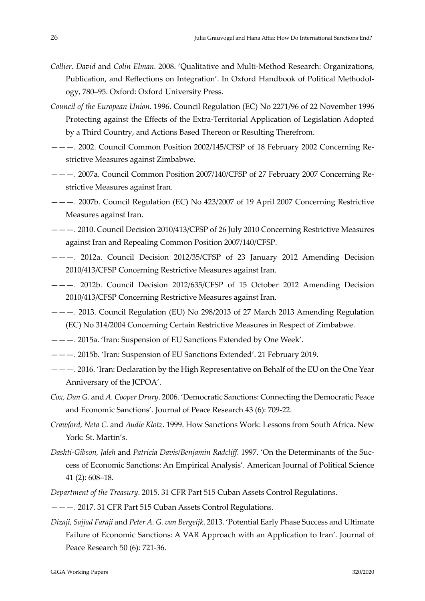- *Collier, David* and *Colin Elman*. 2008. 'Qualitative and Multi‐Method Research: Organizations, Publication, and Reflections on Integration'. In Oxford Handbook of Political Methodol‐ ogy, 780–95. Oxford: Oxford University Press.
- *Council of the European Union*. 1996. Council Regulation (EC) No 2271/96 of 22 November 1996 Protecting against the Effects of the Extra‐Territorial Application of Legislation Adopted by a Third Country, and Actions Based Thereon or Resulting Therefrom.
- ———. 2002. Council Common Position 2002/145/CFSP of 18 February 2002 Concerning Re‐ strictive Measures against Zimbabwe.
- ———. 2007a. Council Common Position 2007/140/CFSP of 27 February 2007 Concerning Re‐ strictive Measures against Iran.
- ———. 2007b. Council Regulation (EC) No 423/2007 of 19 April 2007 Concerning Restrictive Measures against Iran.
- ———. 2010. Council Decision 2010/413/CFSP of 26 July 2010 Concerning Restrictive Measures against Iran and Repealing Common Position 2007/140/CFSP.
- ———. 2012a. Council Decision 2012/35/CFSP of 23 January 2012 Amending Decision 2010/413/CFSP Concerning Restrictive Measures against Iran.
- ———. 2012b. Council Decision 2012/635/CFSP of 15 October 2012 Amending Decision 2010/413/CFSP Concerning Restrictive Measures against Iran.
- ———. 2013. Council Regulation (EU) No 298/2013 of 27 March 2013 Amending Regulation (EC) No 314/2004 Concerning Certain Restrictive Measures in Respect of Zimbabwe.
- ———. 2015a. 'Iran: Suspension of EU Sanctions Extended by One Week'.
- ———. 2015b. 'Iran: Suspension of EU Sanctions Extended'. 21 February 2019.
- ———. 2016. 'Iran: Declaration by the High Representative on Behalf of the EU on the One Year Anniversary of the JCPOA'.
- *Cox, Dan G.* and *A. Cooper Drury*. 2006. 'Democratic Sanctions: Connecting the Democratic Peace and Economic Sanctions'. Journal of Peace Research 43 (6): 709‐22.
- *Crawford, Neta C.* and *Audie Klotz*. 1999. How Sanctions Work: Lessons from South Africa. New York: St. Martin's.
- *Dashti‐Gibson, Jaleh* and *Patricia Davis/Benjamin Radcliff*. 1997. 'On the Determinants of the Suc‐ cess of Economic Sanctions: An Empirical Analysis'. American Journal of Political Science 41 (2): 608–18.
- *Department of the Treasury*. 2015. 31 CFR Part 515 Cuban Assets Control Regulations.
- ———. 2017. 31 CFR Part 515 Cuban Assets Control Regulations.
- *Dizaji, Sajjad Faraji* and *Peter A. G. van Bergeijk*. 2013. 'Potential Early Phase Success and Ultimate Failure of Economic Sanctions: A VAR Approach with an Application to Iran'. Journal of Peace Research 50 (6): 721‐36.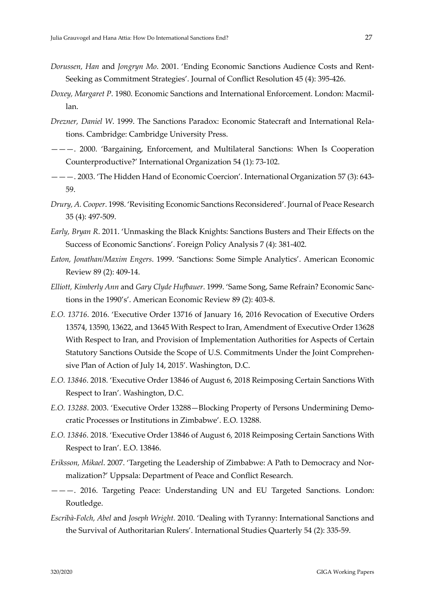- *Dorussen, Han* and *Jongryn Mo*. 2001. 'Ending Economic Sanctions Audience Costs and Rent‐ Seeking as Commitment Strategies'. Journal of Conflict Resolution 45 (4): 395‐426.
- *Doxey, Margaret P*. 1980. Economic Sanctions and International Enforcement. London: Macmil‐ lan.
- *Drezner, Daniel W*. 1999. The Sanctions Paradox: Economic Statecraft and International Rela‐ tions. Cambridge: Cambridge University Press.
- ———. 2000. 'Bargaining, Enforcement, and Multilateral Sanctions: When Is Cooperation Counterproductive?' International Organization 54 (1): 73‐102.
- ———. 2003. 'The Hidden Hand of Economic Coercion'. International Organization 57 (3): 643‐ 59.
- *Drury, A. Cooper*. 1998. 'Revisiting Economic Sanctions Reconsidered'. Journal of Peace Research 35 (4): 497‐509.
- *Early, Bryan R*. 2011. 'Unmasking the Black Knights: Sanctions Busters and Their Effects on the Success of Economic Sanctions'. Foreign Policy Analysis 7 (4): 381‐402.
- *Eaton, Jonathan/Maxim Engers*. 1999. 'Sanctions: Some Simple Analytics'. American Economic Review 89 (2): 409‐14.
- *Elliott, Kimberly Ann* and *Gary Clyde Hufbauer*. 1999. 'Same Song, Same Refrain? Economic Sanc‐ tions in the 1990's'. American Economic Review 89 (2): 403‐8.
- *E.O. 13716*. 2016. 'Executive Order 13716 of January 16, 2016 Revocation of Executive Orders 13574, 13590, 13622, and 13645 With Respect to Iran, Amendment of Executive Order 13628 With Respect to Iran, and Provision of Implementation Authorities for Aspects of Certain Statutory Sanctions Outside the Scope of U.S. Commitments Under the Joint Comprehen‐ sive Plan of Action of July 14, 2015'. Washington, D.C.
- *E.O. 13846*. 2018. 'Executive Order 13846 of August 6, 2018 Reimposing Certain Sanctions With Respect to Iran'. Washington, D.C.
- *E.O. 13288*. 2003. 'Executive Order 13288—Blocking Property of Persons Undermining Demo‐ cratic Processes or Institutions in Zimbabwe'. E.O. 13288.
- *E.O. 13846*. 2018. 'Executive Order 13846 of August 6, 2018 Reimposing Certain Sanctions With Respect to Iran'. E.O. 13846.
- *Eriksson, Mikael*. 2007. 'Targeting the Leadership of Zimbabwe: A Path to Democracy and Nor‐ malization?' Uppsala: Department of Peace and Conflict Research.
- ———. 2016. Targeting Peace: Understanding UN and EU Targeted Sanctions. London: Routledge.
- *Escribà‐Folch, Abel* and *Joseph Wright.* 2010. 'Dealing with Tyranny: International Sanctions and the Survival of Authoritarian Rulers'. International Studies Quarterly 54 (2): 335‐59.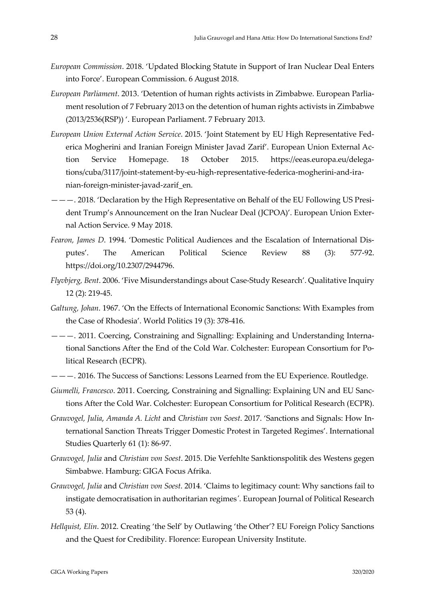- *European Commission*. 2018. 'Updated Blocking Statute in Support of Iran Nuclear Deal Enters into Force'. European Commission. 6 August 2018.
- *European Parliament*. 2013. 'Detention of human rights activists in Zimbabwe. European Parlia‐ ment resolution of 7 February 2013 on the detention of human rights activists in Zimbabwe (2013/2536(RSP)) '. European Parliament. 7 February 2013.
- *European Union External Action Service*. 2015. 'Joint Statement by EU High Representative Fed‐ erica Mogherini and Iranian Foreign Minister Javad Zarif'. European Union External Ac‐ tion Service Homepage. 18 October 2015. https://eeas.europa.eu/delegations/cuba/3117/joint-statement-by-eu-high-representative-federica-mogherini-and-iranian‐foreign‐minister‐javad‐zarif\_en.
- ———. 2018. 'Declaration by the High Representative on Behalf of the EU Following US Presi‐ dent Trump's Announcement on the Iran Nuclear Deal (JCPOA)'. European Union Exter‐ nal Action Service. 9 May 2018.
- *Fearon, James D*. 1994. 'Domestic Political Audiences and the Escalation of International Dis‐ putes'. The American Political Science Review 88 (3): 577‐92. https://doi.org/10.2307/2944796.
- *Flyvbjerg, Bent*. 2006. 'Five Misunderstandings about Case‐Study Research'. Qualitative Inquiry 12 (2): 219‐45.
- *Galtung, Johan*. 1967. 'On the Effects of International Economic Sanctions: With Examples from the Case of Rhodesia'. World Politics 19 (3): 378‐416.
- ———. 2011. Coercing, Constraining and Signalling: Explaining and Understanding Interna‐ tional Sanctions After the End of the Cold War. Colchester: European Consortium for Po‐ litical Research (ECPR).
- ———. 2016. The Success of Sanctions: Lessons Learned from the EU Experience. Routledge.
- *Giumelli, Francesco*. 2011. Coercing, Constraining and Signalling: Explaining UN and EU Sanc‐ tions After the Cold War. Colchester: European Consortium for Political Research (ECPR).
- *Grauvogel, Julia*, *Amanda A. Licht* and *Christian von Soest*. 2017. 'Sanctions and Signals: How In‐ ternational Sanction Threats Trigger Domestic Protest in Targeted Regimes'. International Studies Quarterly 61 (1): 86‐97.
- *Grauvogel, Julia* and *Christian von Soest*. 2015. Die Verfehlte Sanktionspolitik des Westens gegen Simbabwe. Hamburg: GIGA Focus Afrika.
- *Grauvogel, Julia* and *Christian von Soest*. 2014. 'Claims to legitimacy count: Why sanctions fail to instigate democratisation in authoritarian regimes*ʹ.* European Journal of Political Research 53 (4).
- *Hellquist, Elin*. 2012. Creating 'the Self' by Outlawing 'the Other'? EU Foreign Policy Sanctions and the Quest for Credibility. Florence: European University Institute.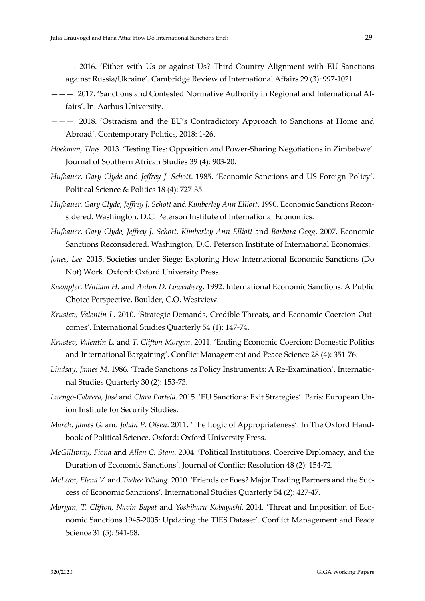- ———. 2016. 'Either with Us or against Us? Third‐Country Alignment with EU Sanctions against Russia/Ukraine'. Cambridge Review of International Affairs 29 (3): 997‐1021.
- ———. 2017. 'Sanctions and Contested Normative Authority in Regional and International Af‐ fairs'. In: Aarhus University.
- ———. 2018. 'Ostracism and the EU's Contradictory Approach to Sanctions at Home and Abroad'. Contemporary Politics, 2018: 1‐26.
- *Hoekman, Thys*. 2013. 'Testing Ties: Opposition and Power‐Sharing Negotiations in Zimbabwe'. Journal of Southern African Studies 39 (4): 903‐20.
- *Hufbauer, Gary Clyde* and *Jeffrey J. Schott*. 1985. 'Economic Sanctions and US Foreign Policy'. Political Science & Politics 18 (4): 727‐35.
- *Hufbauer, Gary Clyde, Jeffrey J. Schott* and *Kimberley Ann Elliott*. 1990. Economic Sanctions Recon‐ sidered. Washington, D.C. Peterson Institute of International Economics.
- *Hufbauer, Gary Clyde*, *Jeffrey J. Schott*, *Kimberley Ann Elliott* and *Barbara Oegg*. 2007. Economic Sanctions Reconsidered. Washington, D.C. Peterson Institute of International Economics.
- *Jones, Lee*. 2015. Societies under Siege: Exploring How International Economic Sanctions (Do Not) Work. Oxford: Oxford University Press.
- *Kaempfer, William H.* and *Anton D. Lowenberg*. 1992. International Economic Sanctions. A Public Choice Perspective. Boulder, C.O. Westview.
- *Krustev, Valentin L*. 2010. 'Strategic Demands, Credible Threats, and Economic Coercion Out‐ comes'. International Studies Quarterly 54 (1): 147‐74.
- *Krustev, Valentin L.* and *T. Clifton Morgan*. 2011. 'Ending Economic Coercion: Domestic Politics and International Bargaining'. Conflict Management and Peace Science 28 (4): 351‐76.
- *Lindsay, James M*. 1986. 'Trade Sanctions as Policy Instruments: A Re‐Examination'. Internatio‐ nal Studies Quarterly 30 (2): 153‐73.
- *Luengo‐Cabrera, José* and *Clara Portela*. 2015. 'EU Sanctions: Exit Strategies'. Paris: European Un‐ ion Institute for Security Studies.
- *March, James G.* and *Johan P. Olsen*. 2011. 'The Logic of Appropriateness'. In The Oxford Hand‐ book of Political Science. Oxford: Oxford University Press.
- *McGillivray, Fiona* and *Allan C. Stam*. 2004. 'Political Institutions, Coercive Diplomacy, and the Duration of Economic Sanctions'. Journal of Conflict Resolution 48 (2): 154‐72.
- *McLean, Elena V.* and *Taehee Whang*. 2010. 'Friends or Foes? Major Trading Partners and the Suc‐ cess of Economic Sanctions'. International Studies Quarterly 54 (2): 427‐47.
- *Morgan, T. Clifton*, *Navin Bapat* and *Yoshiharu Kobayashi*. 2014. 'Threat and Imposition of Eco‐ nomic Sanctions 1945‐2005: Updating the TIES Dataset'. Conflict Management and Peace Science 31 (5): 541‐58.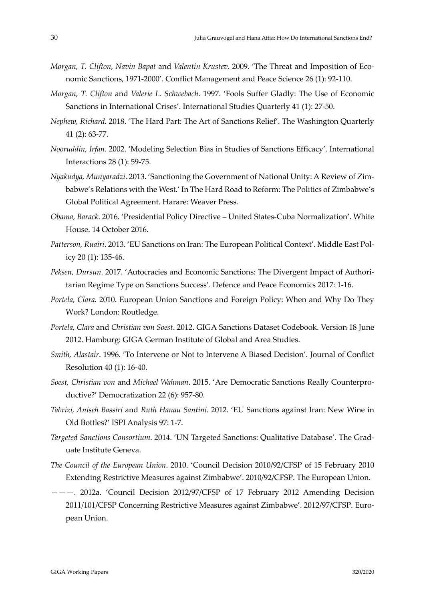- *Morgan, T. Clifton*, *Navin Bapat* and *Valentin Krustev*. 2009. 'The Threat and Imposition of Eco‐ nomic Sanctions, 1971‐2000'. Conflict Management and Peace Science 26 (1): 92‐110.
- *Morgan, T. Clifton* and *Valerie L. Schwebach*. 1997. 'Fools Suffer Gladly: The Use of Economic Sanctions in International Crises'. International Studies Quarterly 41 (1): 27‐50.
- *Nephew, Richard.* 2018. 'The Hard Part: The Art of Sanctions Relief'. The Washington Quarterly 41 (2): 63‐77.
- *Nooruddin, Irfan*. 2002. 'Modeling Selection Bias in Studies of Sanctions Efficacy'. International Interactions 28 (1): 59‐75.
- *Nyakudya, Munyaradzi*. 2013. 'Sanctioning the Government of National Unity: A Review of Zim‐ babwe's Relations with the West.' In The Hard Road to Reform: The Politics of Zimbabwe's Global Political Agreement. Harare: Weaver Press.
- *Obama, Barack*. 2016. 'Presidential Policy Directive United States‐Cuba Normalization'. White House. 14 October 2016.
- *Patterson, Ruairi*. 2013. 'EU Sanctions on Iran: The European Political Context'. Middle East Pol‐ icy 20 (1): 135‐46.
- *Peksen, Dursun*. 2017. 'Autocracies and Economic Sanctions: The Divergent Impact of Authori‐ tarian Regime Type on Sanctions Success'. Defence and Peace Economics 2017: 1‐16.
- *Portela, Clara*. 2010. European Union Sanctions and Foreign Policy: When and Why Do They Work? London: Routledge.
- *Portela, Clara* and *Christian von Soest*. 2012. GIGA Sanctions Dataset Codebook. Version 18 June 2012. Hamburg: GIGA German Institute of Global and Area Studies.
- *Smith, Alastair*. 1996. 'To Intervene or Not to Intervene A Biased Decision'. Journal of Conflict Resolution 40 (1): 16‐40.
- *Soest, Christian von* and *Michael Wahman*. 2015. 'Are Democratic Sanctions Really Counterpro‐ ductive?' Democratization 22 (6): 957‐80.
- *Tabrizi, Aniseh Bassiri* and *Ruth Hanau Santini*. 2012. 'EU Sanctions against Iran: New Wine in Old Bottles?' ISPI Analysis 97: 1‐7.
- *Targeted Sanctions Consortium*. 2014. 'UN Targeted Sanctions: Qualitative Database'. The Grad‐ uate Institute Geneva.
- *The Council of the European Union*. 2010. 'Council Decision 2010/92/CFSP of 15 February 2010 Extending Restrictive Measures against Zimbabwe'. 2010/92/CFSP. The European Union.
- ———. 2012a. 'Council Decision 2012/97/CFSP of 17 February 2012 Amending Decision 2011/101/CFSP Concerning Restrictive Measures against Zimbabwe'. 2012/97/CFSP. Euro‐ pean Union.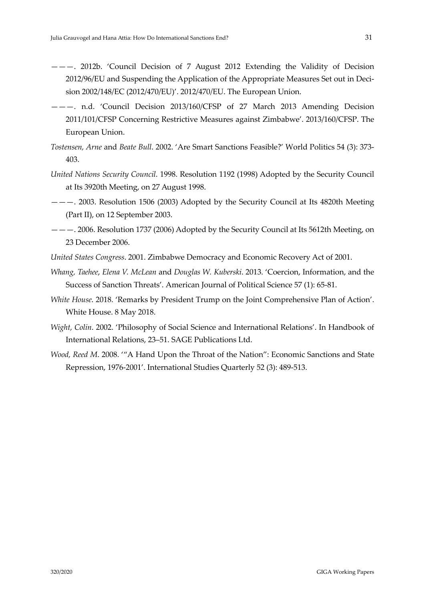- ———. 2012b. 'Council Decision of 7 August 2012 Extending the Validity of Decision 2012/96/EU and Suspending the Application of the Appropriate Measures Set out in Deci‐ sion 2002/148/EC (2012/470/EU)'. 2012/470/EU. The European Union.
- ———. n.d. 'Council Decision 2013/160/CFSP of 27 March 2013 Amending Decision 2011/101/CFSP Concerning Restrictive Measures against Zimbabwe'. 2013/160/CFSP. The European Union.
- *Tostensen, Arne* and *Beate Bull*. 2002. 'Are Smart Sanctions Feasible?' World Politics 54 (3): 373‐ 403.
- *United Nations Security Council*. 1998. Resolution 1192 (1998) Adopted by the Security Council at Its 3920th Meeting, on 27 August 1998.
- ———. 2003. Resolution 1506 (2003) Adopted by the Security Council at Its 4820th Meeting (Part II), on 12 September 2003.
- ———. 2006. Resolution 1737 (2006) Adopted by the Security Council at Its 5612th Meeting, on 23 December 2006.
- *United States Congress*. 2001. Zimbabwe Democracy and Economic Recovery Act of 2001.
- *Whang, Taehee*, *Elena V. McLean* and *Douglas W. Kuberski*. 2013. 'Coercion, Information, and the Success of Sanction Threats'. American Journal of Political Science 57 (1): 65‐81.
- *White House*. 2018. 'Remarks by President Trump on the Joint Comprehensive Plan of Action'. White House. 8 May 2018.
- *Wight, Colin*. 2002. 'Philosophy of Social Science and International Relations'. In Handbook of International Relations, 23–51. SAGE Publications Ltd.
- *Wood, Reed M*. 2008. '"A Hand Upon the Throat of the Nation": Economic Sanctions and State Repression, 1976‐2001'. International Studies Quarterly 52 (3): 489‐513.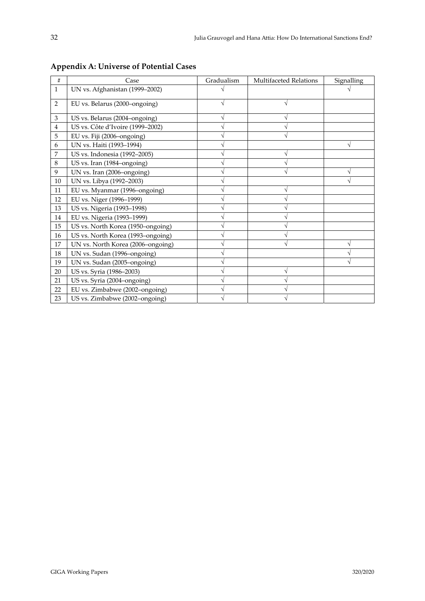| #              | Case                              | Gradualism | <b>Multifaceted Relations</b> | Signalling |
|----------------|-----------------------------------|------------|-------------------------------|------------|
| $\mathbf{1}$   | UN vs. Afghanistan (1999-2002)    |            |                               |            |
| $\overline{2}$ | EU vs. Belarus (2000–ongoing)     |            |                               |            |
| 3              | US vs. Belarus (2004–ongoing)     |            |                               |            |
| 4              | US vs. Côte d'Ivoire (1999-2002)  |            |                               |            |
| 5              | EU vs. Fiji (2006–ongoing)        |            |                               |            |
| 6              | UN vs. Haiti (1993-1994)          |            |                               |            |
| 7              | US vs. Indonesia (1992-2005)      |            |                               |            |
| 8              | US vs. Iran (1984–ongoing)        |            |                               |            |
| 9              | UN vs. Iran (2006–ongoing)        |            |                               |            |
| 10             | UN vs. Libya (1992-2003)          |            |                               |            |
| 11             | EU vs. Myanmar (1996–ongoing)     |            | V                             |            |
| 12             | EU vs. Niger (1996-1999)          |            |                               |            |
| 13             | US vs. Nigeria (1993-1998)        |            |                               |            |
| 14             | EU vs. Nigeria (1993-1999)        |            |                               |            |
| 15             | US vs. North Korea (1950–ongoing) |            |                               |            |
| 16             | US vs. North Korea (1993-ongoing) |            |                               |            |
| 17             | UN vs. North Korea (2006–ongoing) |            |                               |            |
| 18             | UN vs. Sudan (1996–ongoing)       |            |                               |            |
| 19             | UN vs. Sudan (2005-ongoing)       |            |                               |            |
| 20             | US vs. Syria (1986-2003)          |            |                               |            |
| 21             | US vs. Syria (2004–ongoing)       |            |                               |            |
| 22             | EU vs. Zimbabwe (2002-ongoing)    |            |                               |            |
| 23             | US vs. Zimbabwe (2002-ongoing)    |            |                               |            |

**Appendix A: Universe of Potential Cases**